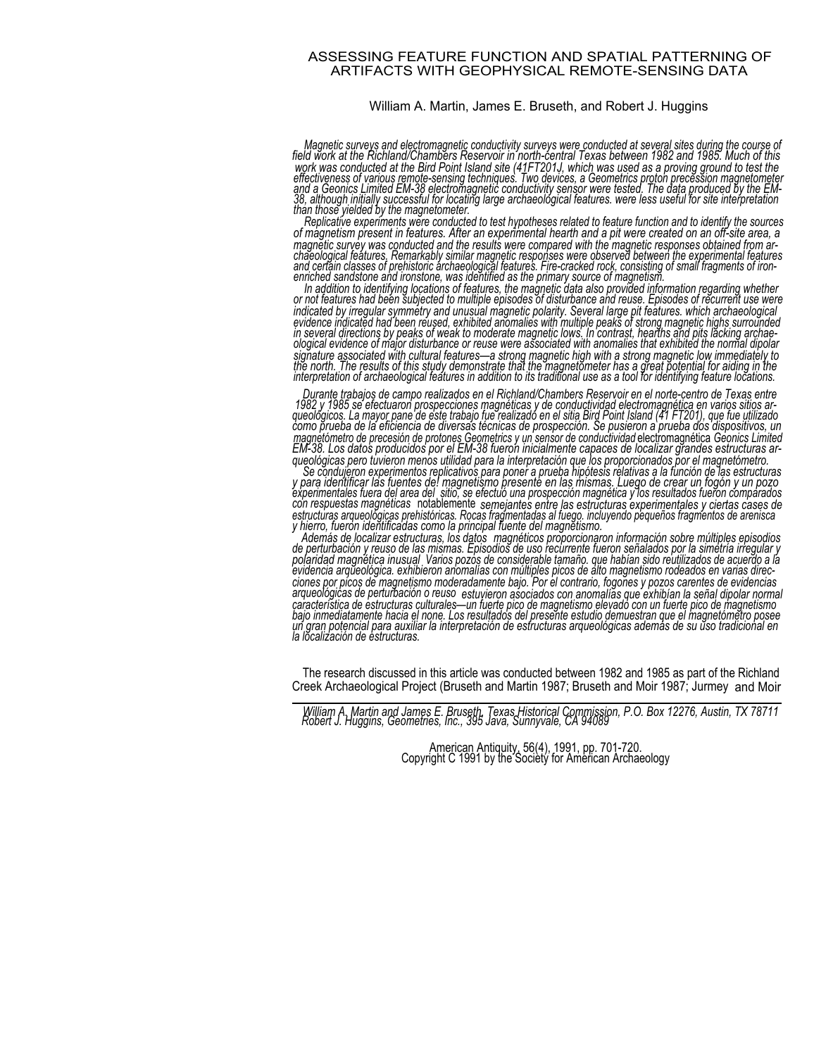# ASSESSING FEATURE FUNCTION AND SPATIAL PATTERNING OF ARTIFACTS WITH GEOPHYSICAL REMOTE-SENSING DATA

# William A. Martin, James E. Bruseth, and Robert J. Huggins

Magnetic surveys and electromagnetic conductivity surveys were conducted at several sites during the course of<br>field work at the Richland/Chambers Reservoir in north-central Texas between 1982 and 1985. Much of this work was conducted at the Bird Point Island site (41FT201J, which was used as a proving ground to test the<br>effectiveness of various remote-sensing techniques. Two devices, a Geometrics proton precession magnetometer<br>and a *than those yielded by the magnetometer.*

Replicative experiments were conducted to test hypotheses related to feature function and to identify the sources<br>of magnetism present in features. After an experimental hearth and a pit were created on an off-site area, a *magnetic survey was conducted and the results were compared with the magnetic responses obtained from ar*chaeological features. Remarkably similar magnetic responses were observed between the experimental features<br>and certain classes of prehistoric archaeological features. Fire-cracked rock, consisting of small fragments of i

In addition to identifying locations of features, the magnetic data also provided information regarding whether<br>or not features had been subjected to multiple episodes of disturbance and reuse. Episodes of recurrent use we indicated by irregular symmetry and unusual magnetic polarity. Several large pit features. which archaeological<br>evidence indicated had been reused, exhibited anomalies with multiple peaks of strong magnetic highs surrounde *ological evidence of major disturbance or reuse were associated with anomalies that exhibited the normal dipolar* signature associated with cultural features—a strong magnetic high with a strong magnetic low immediately to<br>the north. The results of this study demonstrate that the magnetometer has a great potential for aiding in the<br>in

*Durante trabajos de campo realizados en el Richland/Chambers Reservoir en el norte-centro de Texas entre* .1982 y 1985 se efectuaron prospecciones magnéticas y de conductividad electromagnética en varios sitios ar-<br>queológicos. La mayor pane de este trabajo fue realizado en el sitia Bird Point Island (41 FT201), que fue utiliz magnetometro de precesión de protones Geometrics y un sensor de conductividad electromagnética Geonics Limited<br>EM-38. Los datos producidos por el EM-38 fueron inicialmente capaces de localizar grandes estructuras ar-

queológicas pero tuvieron menos utilidad para la interpretación que los proporcionados por el magnetómetro.<br>Se condujeron experimentos replicativos para poner a prueba hipótesis relativas a la función de las estructuras<br>y

*Además de localizar estructuras, los datos magnéticos proporcionaron información sobre múltiples episodios* de perturbación y reuso de las mismas. Episodios de uso recurrente fueron señalados por la simétria irregular y<br>polaridad magnética inusual . Varios pozós de considerable tamaño, que habían sido reutilizados de acuerdo a l *ciones por picos de magnetismo moderadamente bajo. Por el contrario, fogones y pozos carentes de evidencias* arqueologicas de perturbación o reuso estuvieron asociados con anomalías que exhibían la señal dipolar normal<br>característica de estructuras culturales—un fuerte pico de magnetismo elevado con un fuerte pico de magnetismo *bajo inmediatamente hacia el none. Los resultados del presente estudio demuestran que el magnetómetro posee un gran potencial para auxiliar la interpretación de estructuras arqueológicas además de su uso tradicional en la localización de estructuras.*

The research discussed in this article was conducted between 1982 and 1985 as part of the Richland Creek Archaeological Project (Bruseth and Martin 1987; Bruseth and Moir 1987; Jurmey and Moir

*William A. Martin and James E. Bruseth, Texas Historical Commission, P.O. Box 12276, Austin, TX 78711 Robert J. Huggins, Geometries, Inc., 395 Java, Sunnyvale, CA 94089*

American Antiquity, 56(4), 1991, pp. 701-720. Copyright C 1991 by the Society for American Archaeology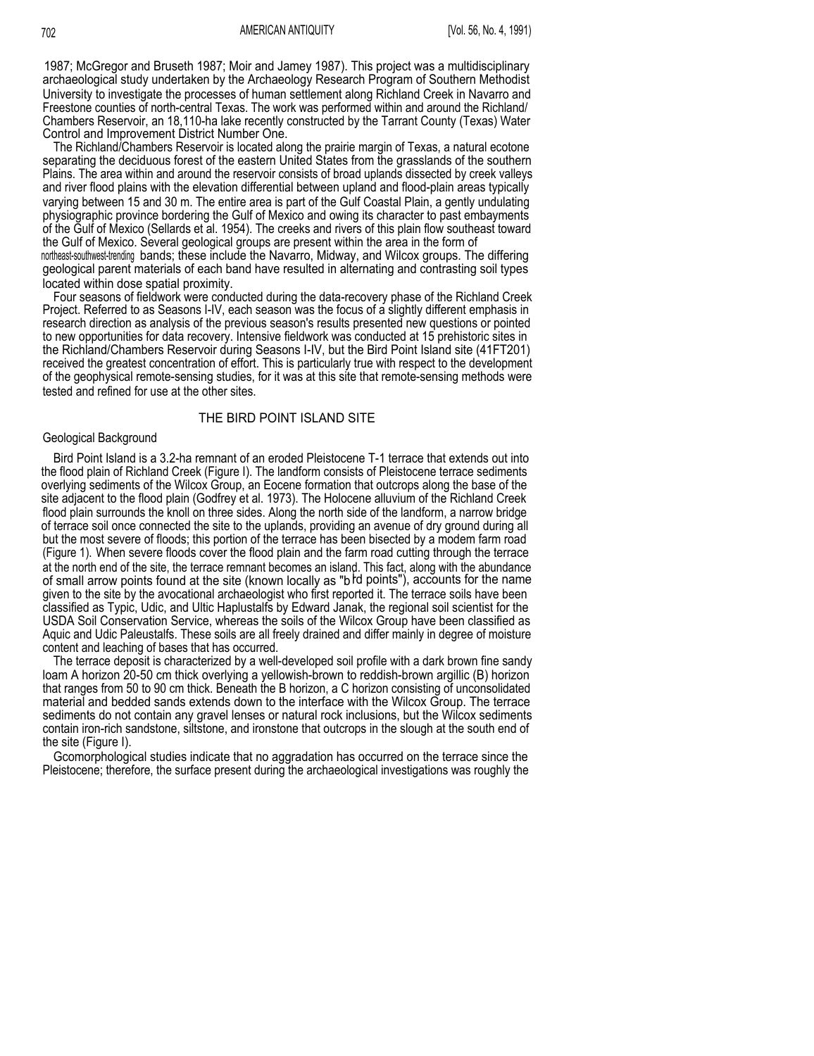1987; McGregor and Bruseth 1987; Moir and Jamey 1987). This project was a multidisciplinary archaeological study undertaken by the Archaeology Research Program of Southern Methodist University to investigate the processes of human settlement along Richland Creek in Navarro and Freestone counties of north-central Texas. The work was performed within and around the Richland/ Chambers Reservoir, an 18,110-ha lake recently constructed by the Tarrant County (Texas) Water Control and Improvement District Number One.

The Richland/Chambers Reservoir is located along the prairie margin of Texas, a natural ecotone separating the deciduous forest of the eastern United States from the grasslands of the southern Plains. The area within and around the reservoir consists of broad uplands dissected by creek valleys and river flood plains with the elevation differential between upland and flood-plain areas typically varying between 15 and 30 m. The entire area is part of the Gulf Coastal Plain, a gently undulating physiographic province bordering the Gulf of Mexico and owing its character to past embayments of the Gulf of Mexico (Sellards et al. 1954). The creeks and rivers of this plain flow southeast toward the Gulf of Mexico. Several geological groups are present within the area in the form of

northeast-southwest-trending bands; these include the Navarro, Midway, and Wilcox groups. The differing geological parent materials of each band have resulted in alternating and contrasting soil types located within dose spatial proximity.

Four seasons of fieldwork were conducted during the data-recovery phase of the Richland Creek Project. Referred to as Seasons I-IV, each season was the focus of a slightly different emphasis in research direction as analysis of the previous season's results presented new questions or pointed to new opportunities for data recovery. Intensive fieldwork was conducted at 15 prehistoric sites in the Richland/Chambers Reservoir during Seasons I-IV, but the Bird Point Island site (41FT201) received the greatest concentration of effort. This is particularly true with respect to the development of the geophysical remote-sensing studies, for it was at this site that remote-sensing methods were tested and refined for use at the other sites.

# THE BIRD POINT ISLAND SITE

# Geological Background

Bird Point Island is a 3.2-ha remnant of an eroded Pleistocene T-1 terrace that extends out into the flood plain of Richland Creek (Figure I). The landform consists of Pleistocene terrace sediments overlying sediments of the Wilcox Group, an Eocene formation that outcrops along the base of the site adjacent to the flood plain (Godfrey et al. 1973). The Holocene alluvium of the Richland Creek flood plain surrounds the knoll on three sides. Along the north side of the landform, a narrow bridge of terrace soil once connected the site to the uplands, providing an avenue of dry ground during all but the most severe of floods; this portion of the terrace has been bisected by a modem farm road (Figure 1). When severe floods cover the flood plain and the farm road cutting through the terrace at the north end of the site, the terrace remnant becomes an island. This fact, along with the abundance at the north end of the site, the terrace remnant becomes an island. This fact, along with the abditualities<br>of small arrow points found at the site (known locally as "b<sup>i</sup>rd points"), accounts for the name given to the site by the avocational archaeologist who first reported it. The terrace soils have been classified as Typic, Udic, and Ultic Haplustalfs by Edward Janak, the regional soil scientist for the USDA Soil Conservation Service, whereas the soils of the Wilcox Group have been classified as Aquic and Udic Paleustalfs. These soils are all freely drained and differ mainly in degree of moisture content and leaching of bases that has occurred.

The terrace deposit is characterized by a well-developed soil profile with a dark brown fine sandy loam A horizon 20-50 cm thick overlying a yellowish-brown to reddish-brown argillic (B) horizon that ranges from 50 to 90 cm thick. Beneath the B horizon, a C horizon consisting of unconsolidated material and bedded sands extends down to the interface with the Wilcox Group. The terrace sediments do not contain any gravel lenses or natural rock inclusions, but the Wilcox sediments contain iron-rich sandstone, siltstone, and ironstone that outcrops in the slough at the south end of the site (Figure I).

Gcomorphological studies indicate that no aggradation has occurred on the terrace since the Pleistocene; therefore, the surface present during the archaeological investigations was roughly the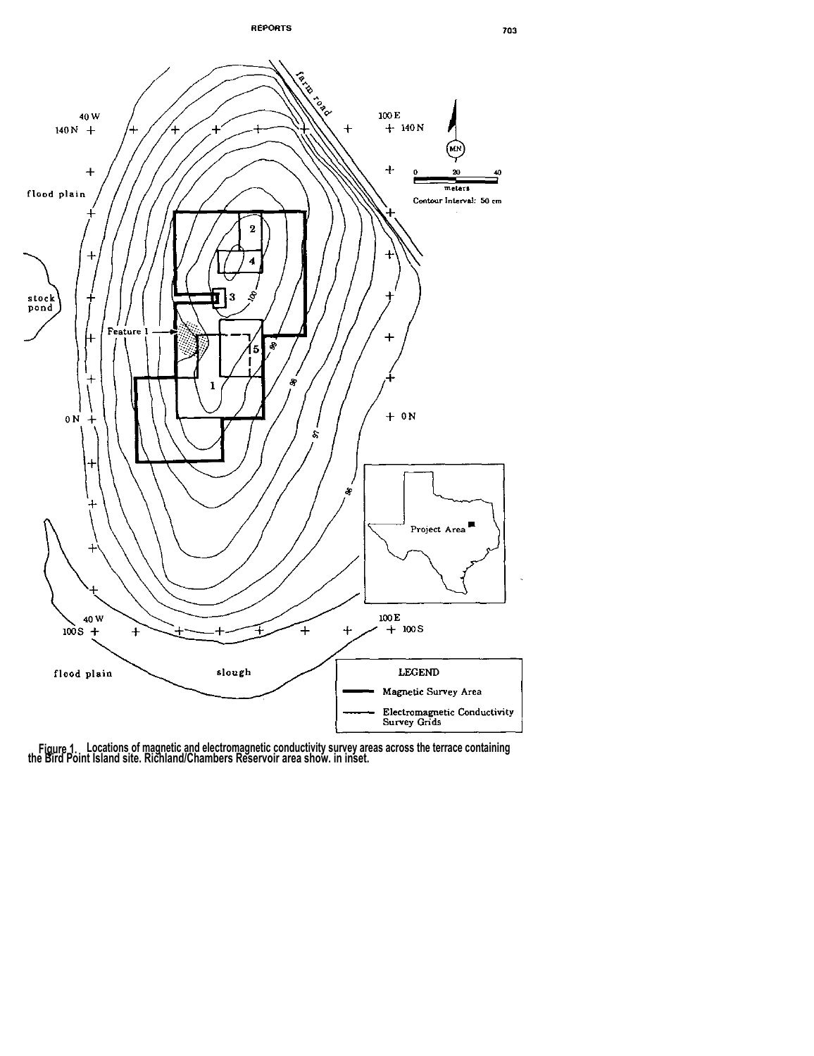

**Figure 1. Locations of magnetic and electromagnetic conductivity survey areas across the terrace containing the Bird Point Island site. Richland/Chambers Reservoir area show. in inset.**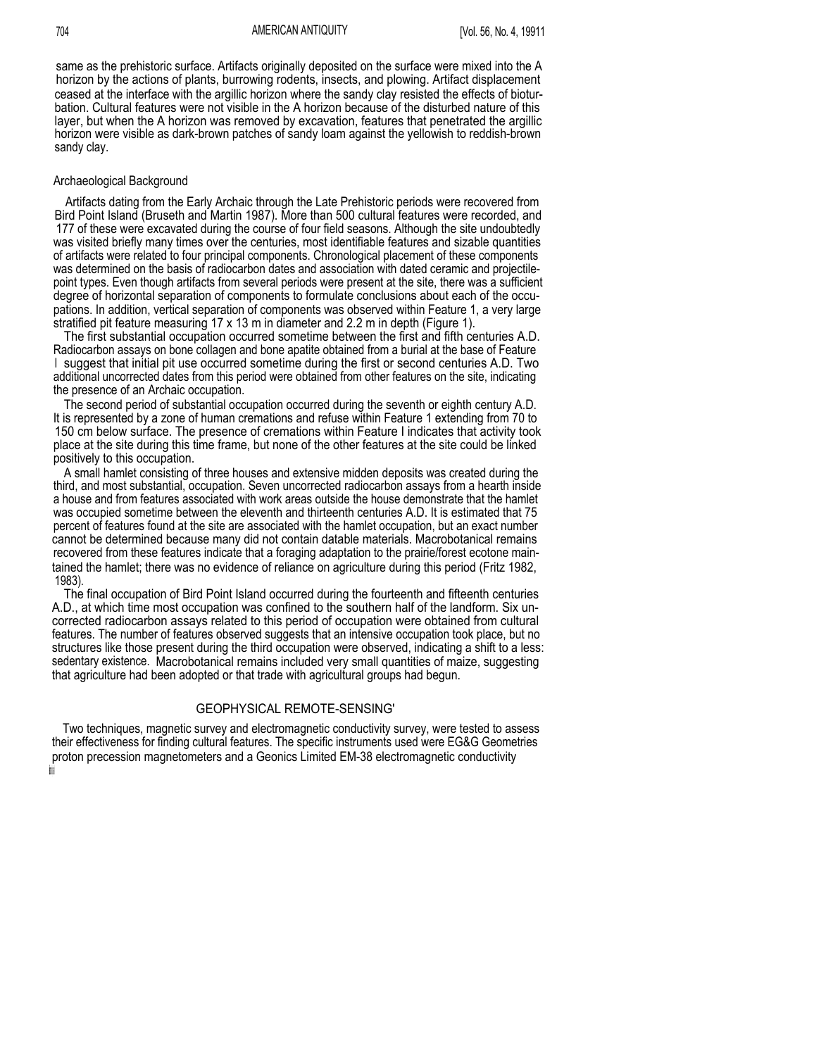same as the prehistoric surface. Artifacts originally deposited on the surface were mixed into the A horizon by the actions of plants, burrowing rodents, insects, and plowing. Artifact displacement ceased at the interface with the argillic horizon where the sandy clay resisted the effects of bioturbation. Cultural features were not visible in the A horizon because of the disturbed nature of this layer, but when the A horizon was removed by excavation, features that penetrated the argillic horizon were visible as dark-brown patches of sandy loam against the yellowish to reddish-brown sandy clay.

# Archaeological Background

Artifacts dating from the Early Archaic through the Late Prehistoric periods were recovered from Bird Point Island (Bruseth and Martin 1987). More than 500 cultural features were recorded, and 177 of these were excavated during the course of four field seasons. Although the site undoubtedly was visited briefly many times over the centuries, most identifiable features and sizable quantities of artifacts were related to four principal components. Chronological placement of these components was determined on the basis of radiocarbon dates and association with dated ceramic and projectilepoint types. Even though artifacts from several periods were present at the site, there was a sufficient degree of horizontal separation of components to formulate conclusions about each of the occupations. In addition, vertical separation of components was observed within Feature 1, a very large stratified pit feature measuring 17 x 13 m in diameter and 2.2 m in depth (Figure 1).

The first substantial occupation occurred sometime between the first and fifth centuries A.D. Radiocarbon assays on bone collagen and bone apatite obtained from a burial at the base of Feature I suggest that initial pit use occurred sometime during the first or second centuries A.D. Two additional uncorrected dates from this period were obtained from other features on the site, indicating the presence of an Archaic occupation.

The second period of substantial occupation occurred during the seventh or eighth century A.D. It is represented by a zone of human cremations and refuse within Feature 1 extending from 70 to 150 cm below surface. The presence of cremations within Feature I indicates that activity took place at the site during this time frame, but none of the other features at the site could be linked positively to this occupation.

A small hamlet consisting of three houses and extensive midden deposits was created during the third, and most substantial, occupation. Seven uncorrected radiocarbon assays from a hearth inside a house and from features associated with work areas outside the house demonstrate that the hamlet was occupied sometime between the eleventh and thirteenth centuries A.D. It is estimated that 75 percent of features found at the site are associated with the hamlet occupation, but an exact number cannot be determined because many did not contain datable materials. Macrobotanical remains recovered from these features indicate that a foraging adaptation to the prairie/forest ecotone maintained the hamlet; there was no evidence of reliance on agriculture during this period (Fritz 1982, 1983).

The final occupation of Bird Point Island occurred during the fourteenth and fifteenth centuries A.D., at which time most occupation was confined to the southern half of the landform. Six uncorrected radiocarbon assays related to this period of occupation were obtained from cultural features. The number of features observed suggests that an intensive occupation took place, but no structures like those present during the third occupation were observed, indicating a shift to a less: sedentary existence. Macrobotanical remains included very small quantities of maize, suggesting that agriculture had been adopted or that trade with agricultural groups had begun.

# GEOPHYSICAL REMOTE-SENSING'

Two techniques, magnetic survey and electromagnetic conductivity survey, were tested to assess their effectiveness for finding cultural features. The specific instruments used were EG&G Geometries proton precession magnetometers and a Geonics Limited EM-38 electromagnetic conductivity Sen or. The relative success of each instrument for locating cultural features was assessed. All work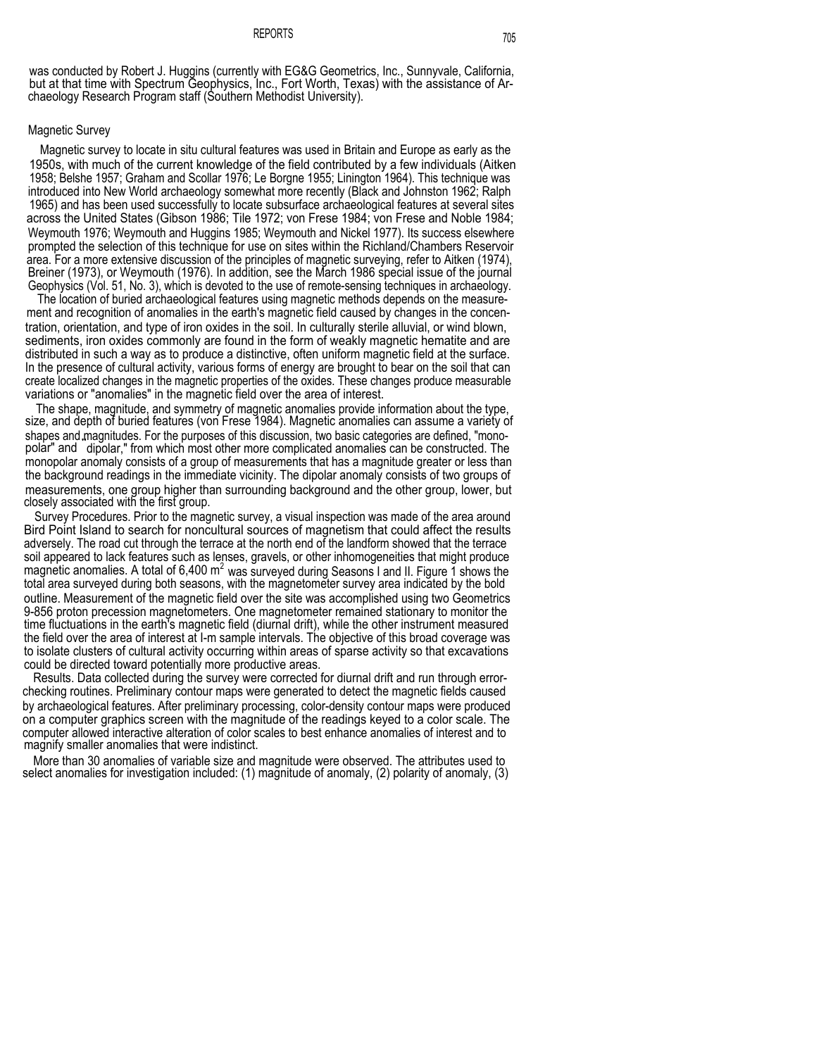was conducted by Robert J. Huggins (currently with EG&G Geometrics, Inc., Sunnyvale, California, but at that time with Spectrum Geophysics, Inc., Fort Worth, Texas) with the assistance of Archaeology Research Program staff (Southern Methodist University).

# Magnetic Survey

Magnetic survey to locate in situ cultural features was used in Britain and Europe as early as the 1950s, with much of the current knowledge of the field contributed by a few individuals (Aitken 1958; Belshe 1957; Graham and Scollar 1976; Le Borgne 1955; Linington 1964). This technique was introduced into New World archaeology somewhat more recently (Black and Johnston 1962; Ralph 1965) and has been used successfully to locate subsurface archaeological features at several sites across the United States (Gibson 1986; Tile 1972; von Frese 1984; von Frese and Noble 1984; Weymouth 1976; Weymouth and Huggins 1985; Weymouth and Nickel 1977). Its success elsewhere prompted the selection of this technique for use on sites within the Richland/Chambers Reservoir area. For a more extensive discussion of the principles of magnetic surveying, refer to Aitken (1974), Breiner (1973), or Weymouth (1976). In addition, see the March 1986 special issue of the journal Geophysics (Vol. 51, No. 3), which is devoted to the use of remote-sensing techniques in archaeology.

The location of buried archaeological features using magnetic methods depends on the measurement and recognition of anomalies in the earth's magnetic field caused by changes in the concentration, orientation, and type of iron oxides in the soil. In culturally sterile alluvial, or wind blown, sediments, iron oxides commonly are found in the form of weakly magnetic hematite and are distributed in such a way as to produce a distinctive, often uniform magnetic field at the surface. In the presence of cultural activity, various forms of energy are brought to bear on the soil that can create localized changes in the magnetic properties of the oxides. These changes produce measurable variations or "anomalies" in the magnetic field over the area of interest.

The shape, magnitude, and symmetry of magnetic anomalies provide information about the type, size, and depth of buried features (von Frese 1984). Magnetic anomalies can assume a variety of shapes and magnitudes. For the purposes of this discussion, two basic categories are defined, "monosnapes and magnitudes. For the purposes of this discussion, two basic categories are defined, "mono-<br>polar" and "dipolar," from which most other more complicated anomalies can be constructed. The monopolar anomaly consists of a group of measurements that has a magnitude greater or less than the background readings in the immediate vicinity. The dipolar anomaly consists of two groups of measurements, one group higher than surrounding background and the other group, lower, but closely associated with the first group.

Survey Procedures. Prior to the magnetic survey, a visual inspection was made of the area around Bird Point Island to search for noncultural sources of magnetism that could affect the results adversely. The road cut through the terrace at the north end of the landform showed that the terrace soil appeared to lack features such as lenses, gravels, or other inhomogeneities that might produce magnetic anomalies. A total of 6,400  $m^2$  was surveyed during Seasons I and II. Figure 1 shows the total area surveyed during both seasons, with the magnetometer survey area indicated by the bold outline. Measurement of the magnetic field over the site was accomplished using two Geometrics 9-856 proton precession magnetometers. One magnetometer remained stationary to monitor the time fluctuations in the earth's magnetic field (diurnal drift), while the other instrument measured the field over the area of interest at I-m sample intervals. The objective of this broad coverage was to isolate clusters of cultural activity occurring within areas of sparse activity so that excavations could be directed toward potentially more productive areas.

Results. Data collected during the survey were corrected for diurnal drift and run through errorchecking routines. Preliminary contour maps were generated to detect the magnetic fields caused by archaeological features. After preliminary processing, color-density contour maps were produced on a computer graphics screen with the magnitude of the readings keyed to a color scale. The computer allowed interactive alteration of color scales to best enhance anomalies of interest and to magnify smaller anomalies that were indistinct.

More than 30 anomalies of variable size and magnitude were observed. The attributes used to select anomalies for investigation included: (1) magnitude of anomaly, (2) polarity of anomaly, (3)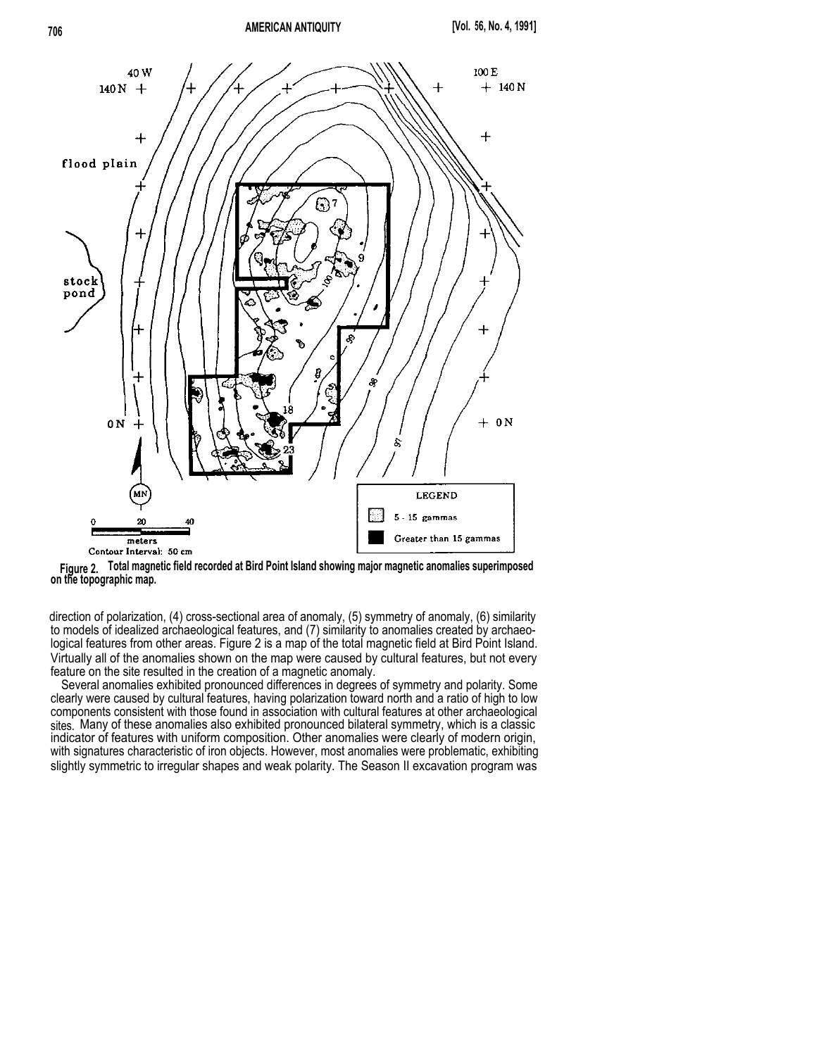

**Figure 2. Total magnetic field recorded at Bird Point Island showing major magnetic anomalies superimposed on the topographic map.**

direction of polarization, (4) cross-sectional area of anomaly, (5) symmetry of anomaly, (6) similarity to models of idealized archaeological features, and (7) similarity to anomalies created by archaeological features from other areas. Figure 2 is a map of the total magnetic field at Bird Point Island. Virtually all of the anomalies shown on the map were caused by cultural features, but not every feature on the site resulted in the creation of a magnetic anomaly.

Several anomalies exhibited pronounced differences in degrees of symmetry and polarity. Some clearly were caused by cultural features, having polarization toward north and a ratio of high to low components consistent with those found in association with cultural features at other archaeological sites. Many of these anomalies also exhibited pronounced bilateral symmetry, which is a classic indicator of features with uniform composition. Other anomalies were clearly of modern origin, with signatures characteristic of iron objects. However, most anomalies were problematic, exhibiting slightly symmetric to irregular shapes and weak polarity. The Season II excavation program was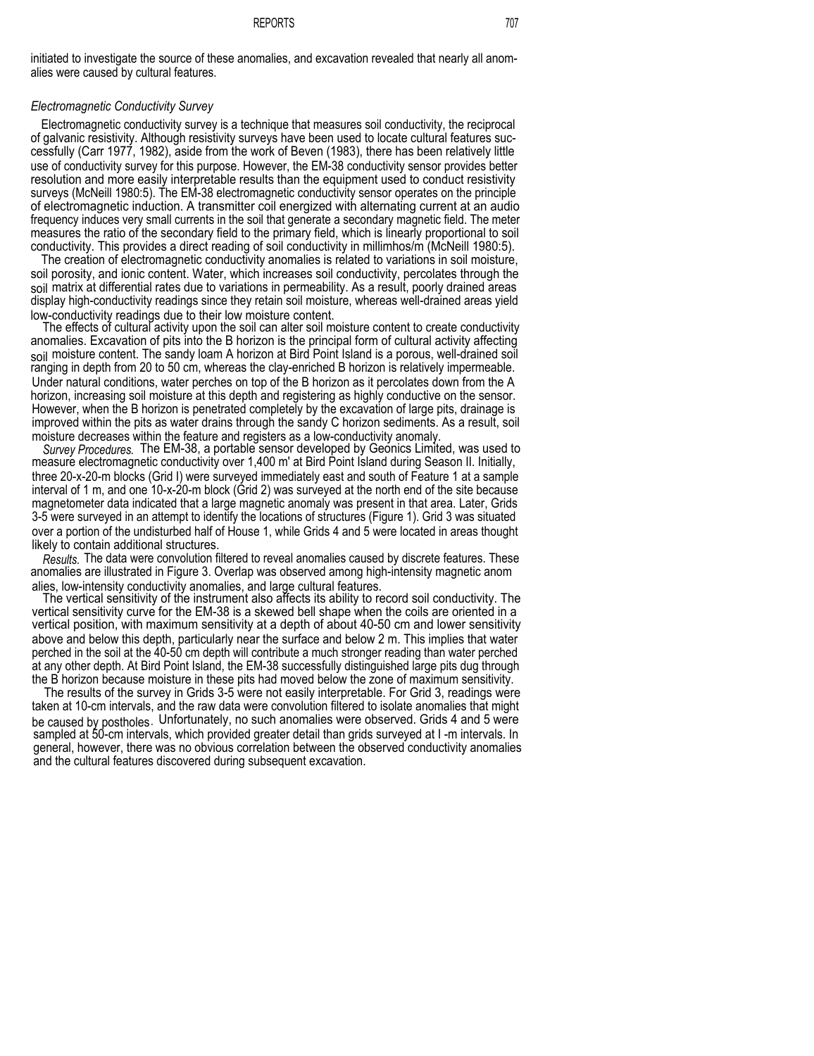initiated to investigate the source of these anomalies, and excavation revealed that nearly all anomalies were caused by cultural features.

# *Electromagnetic Conductivity Survey*

Electromagnetic conductivity survey is a technique that measures soil conductivity, the reciprocal of galvanic resistivity. Although resistivity surveys have been used to locate cultural features successfully (Carr 1977, 1982), aside from the work of Beven (1983), there has been relatively little use of conductivity survey for this purpose. However, the EM-38 conductivity sensor provides better resolution and more easily interpretable results than the equipment used to conduct resistivity surveys (McNeill 1980:5). The EM-38 electromagnetic conductivity sensor operates on the principle of electromagnetic induction. A transmitter coil energized with alternating current at an audio frequency induces very small currents in the soil that generate a secondary magnetic field. The meter measures the ratio of the secondary field to the primary field, which is linearly proportional to soil conductivity. This provides a direct reading of soil conductivity in millimhos/m (McNeill 1980:5).

The creation of electromagnetic conductivity anomalies is related to variations in soil moisture, soil porosity, and ionic content. Water, which increases soil conductivity, percolates through the soil matrix at differential rates due to variations in permeability. As a result, poorly drained areas display high-conductivity readings since they retain soil moisture, whereas well-drained areas yield low-conductivity readings due to their low moisture content.

The effects of cultural activity upon the soil can alter soil moisture content to create conductivity anomalies. Excavation of pits into the B horizon is the principal form of cultural activity affecting soil moisture content. The sandy loam A horizon at Bird Point Island is a porous, well-drained soil ranging in depth from 20 to 50 cm, whereas the clay-enriched B horizon is relatively impermeable. Under natural conditions, water perches on top of the B horizon as it percolates down from the A horizon, increasing soil moisture at this depth and registering as highly conductive on the sensor. However, when the B horizon is penetrated completely by the excavation of large pits, drainage is improved within the pits as water drains through the sandy C horizon sediments. As a result, soil moisture decreases within the feature and registers as a low-conductivity anomaly.

*Survey Procedures.* The EM-38, a portable sensor developed by Geonics Limited, was used to measure electromagnetic conductivity over 1,400 m' at Bird Point Island during Season II. Initially, three 20-x-20-m blocks (Grid I) were surveyed immediately east and south of Feature 1 at a sample interval of 1 m, and one 10-x-20-m block (Grid 2) was surveyed at the north end of the site because magnetometer data indicated that a large magnetic anomaly was present in that area. Later, Grids 3-5 were surveyed in an attempt to identify the locations of structures (Figure 1). Grid 3 was situated over a portion of the undisturbed half of House 1, while Grids 4 and 5 were located in areas thought likely to contain additional structures.

*Results.* The data were convolution filtered to reveal anomalies caused by discrete features. These anomalies are illustrated in Figure 3. Overlap was observed among high-intensity magnetic anom alies, low-intensity conductivity anomalies, and large cultural features.

The vertical sensitivity of the instrument also affects its ability to record soil conductivity. The vertical sensitivity curve for the EM-38 is a skewed bell shape when the coils are oriented in a vertical position, with maximum sensitivity at a depth of about 40-50 cm and lower sensitivity above and below this depth, particularly near the surface and below 2 m. This implies that water perched in the soil at the 40-50 cm depth will contribute a much stronger reading than water perched at any other depth. At Bird Point Island, the EM-38 successfully distinguished large pits dug through the B horizon because moisture in these pits had moved below the zone of maximum sensitivity.

The results of the survey in Grids 3-5 were not easily interpretable. For Grid 3, readings were taken at 10-cm intervals, and the raw data were convolution filtered to isolate anomalies that might be caused by postholes. Unfortunately, no such anomalies were observed. Grids 4 and 5 were sampled at 50-cm intervals, which provided greater detail than grids surveyed at I -m intervals. In general, however, there was no obvious correlation between the observed conductivity anomalies and the cultural features discovered during subsequent excavation.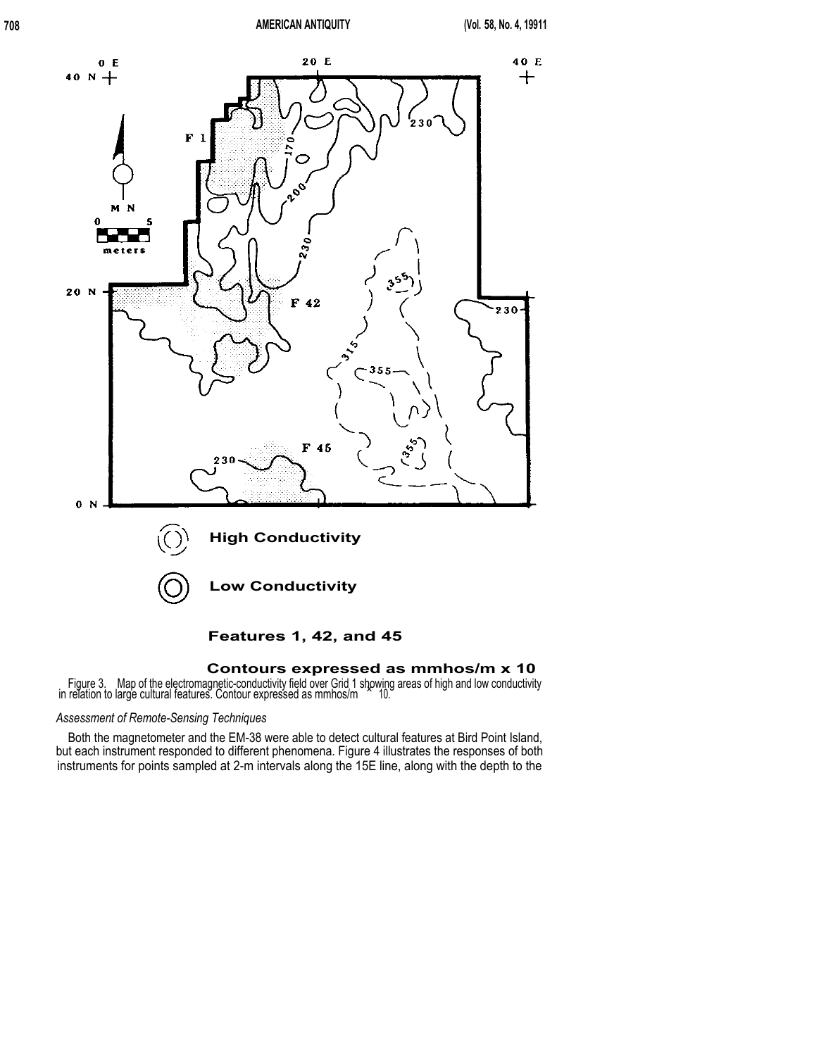



# **Contours expressed as mmhos/m x 10**

Pigure 3. Map of the electromagnetic-conductivity field over Grid 1 showing areas of high and low conductivity<br>In relation to large cultural features. Contour expressed as mmhos/m

# *Assessment of Remote-Sensing Techniques*

Both the magnetometer and the EM-38 were able to detect cultural features at Bird Point Island, but each instrument responded to different phenomena. Figure 4 illustrates the responses of both instruments for points sampled at 2-m intervals along the 15E line, along with the depth to the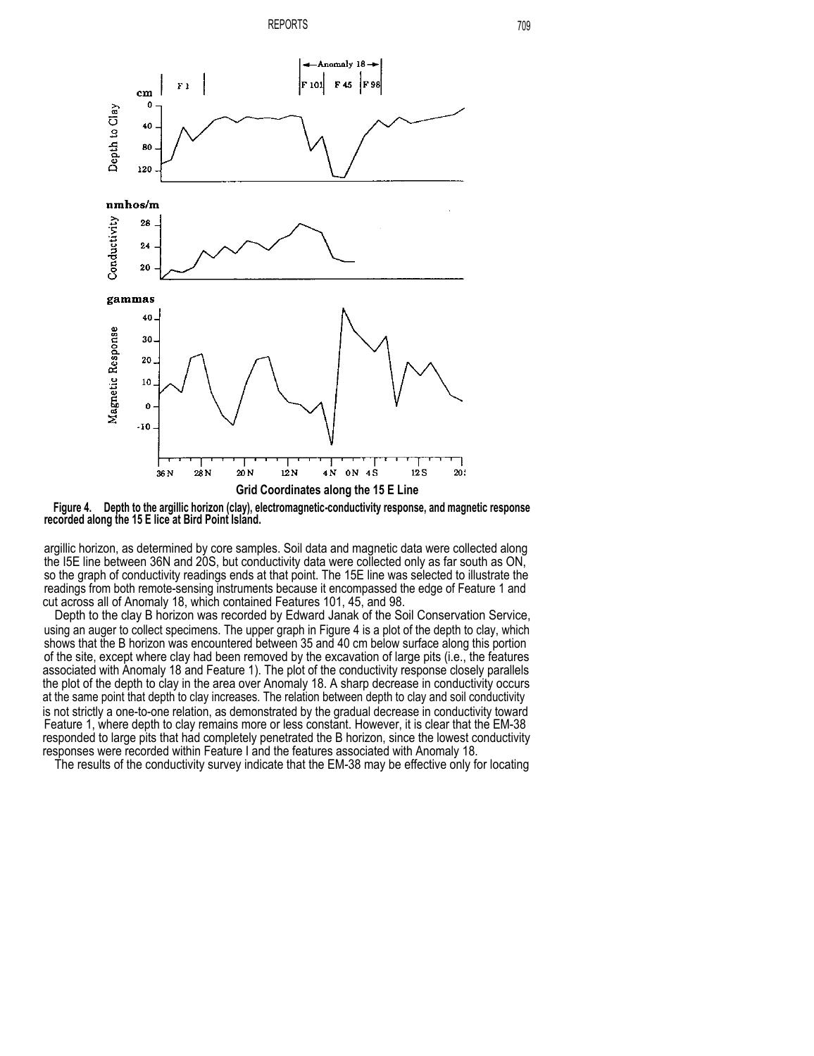



**Figure 4. Depth to the argillic horizon (clay), electromagnetic-conductivity response, and magnetic response recorded along the 15 E lice at Bird Point Island.**

argillic horizon, as determined by core samples. Soil data and magnetic data were collected along the I5E line between 36N and 20S, but conductivity data were collected only as far south as ON, so the graph of conductivity readings ends at that point. The 15E line was selected to illustrate the readings from both remote-sensing instruments because it encompassed the edge of Feature 1 and cut across all of Anomaly 18, which contained Features 101, 45, and 98.

Depth to the clay B horizon was recorded by Edward Janak of the Soil Conservation Service, using an auger to collect specimens. The upper graph in Figure 4 is a plot of the depth to clay, which shows that the B horizon was encountered between 35 and 40 cm below surface along this portion of the site, except where clay had been removed by the excavation of large pits (i.e., the features associated with Anomaly 18 and Feature 1). The plot of the conductivity response closely parallels the plot of the depth to clay in the area over Anomaly 18. A sharp decrease in conductivity occurs at the same point that depth to clay increases. The relation between depth to clay and soil conductivity is not strictly a one-to-one relation, as demonstrated by the gradual decrease in conductivity toward Feature 1, where depth to clay remains more or less constant. However, it is clear that the EM-38 responded to large pits that had completely penetrated the B horizon, since the lowest conductivity responses were recorded within Feature I and the features associated with Anomaly 18.

The results of the conductivity survey indicate that the EM-38 may be effective only for locating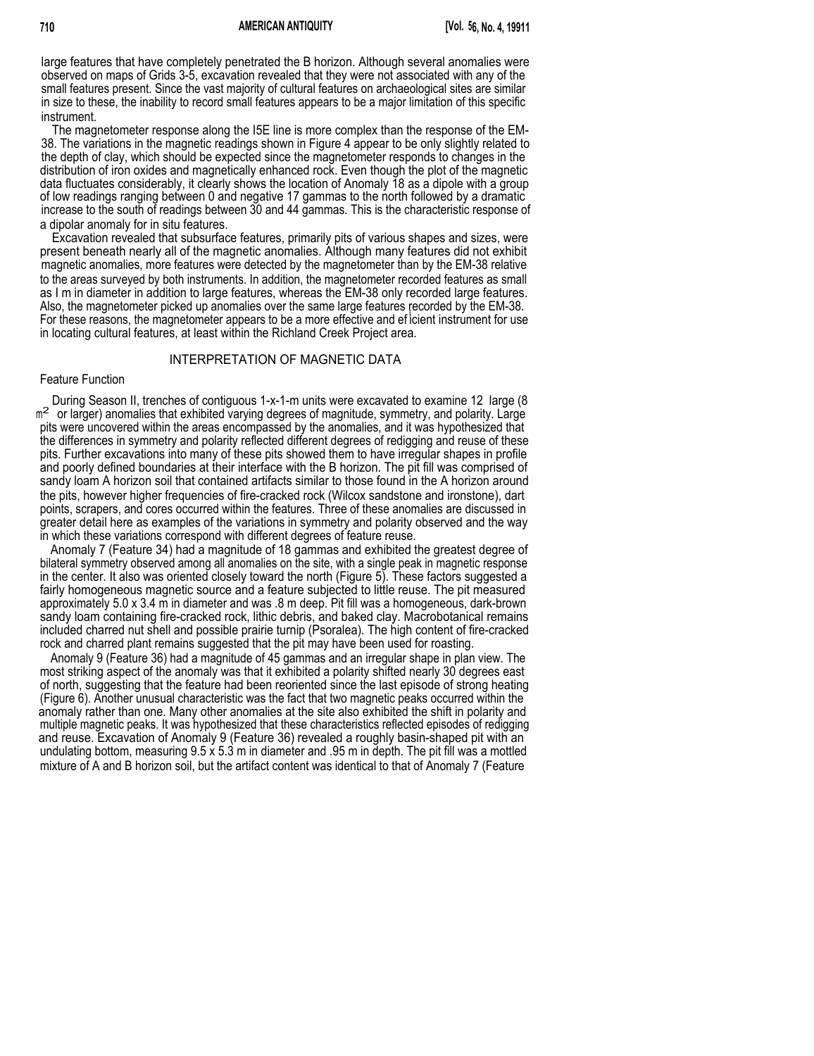**710 AMERICAN ANTIQUITY [Vol. 56, No. 4, 19911**

large features that have completely penetrated the B horizon. Although several anomalies were observed on maps of Grids 3-5, excavation revealed that they were not associated with any of the small features present. Since the vast majority of cultural features on archaeological sites are similar in size to these, the inability to record small features appears to be a major limitation of this specific instrument.

The magnetometer response along the I5E line is more complex than the response of the EM-38. The variations in the magnetic readings shown in Figure 4 appear to be only slightly related to the depth of clay, which should be expected since the magnetometer responds to changes in the distribution of iron oxides and magnetically enhanced rock. Even though the plot of the magnetic data fluctuates considerably, it clearly shows the location of Anomaly 18 as a dipole with a group of low readings ranging between 0 and negative 17 gammas to the north followed by a dramatic increase to the south of readings between 30 and 44 gammas. This is the characteristic response of a dipolar anomaly for in situ features.

Excavation revealed that subsurface features, primarily pits of various shapes and sizes, were present beneath nearly all of the magnetic anomalies. Although many features did not exhibit magnetic anomalies, more features were detected by the magnetometer than by the EM-38 relative to the areas surveyed by both instruments. In addition, the magnetometer recorded features as small as I m in diameter in addition to large features, whereas the EM-38 only recorded large features. Also, the magnetometer picked up anomalies over the same large features recorded by the EM-38. For these reasons, the magnetometer appears to be a more effective and ef <sup>f</sup> icient instrument for use in locating cultural features, at least within the Richland Creek Project area.

# INTERPRETATION OF MAGNETIC DATA

### Feature Function

During Season II, trenches of contiguous 1-x-1-m units were excavated to examine 12 large (8 butting season it, using the contiguous TXT in this were exercised to examine T2 targe (compared or larger) anomalies that exhibited varying degrees of magnitude, symmetry, and polarity. Large pits were uncovered within the areas encompassed by the anomalies, and it was hypothesized that the differences in symmetry and polarity reflected different degrees of redigging and reuse of these pits. Further excavations into many of these pits showed them to have irregular shapes in profile and poorly defined boundaries at their interface with the B horizon. The pit fill was comprised of sandy loam A horizon soil that contained artifacts similar to those found in the A horizon around the pits, however higher frequencies of fire-cracked rock (Wilcox sandstone and ironstone), dart points, scrapers, and cores occurred within the features. Three of these anomalies are discussed in greater detail here as examples of the variations in symmetry and polarity observed and the way in which these variations correspond with different degrees of feature reuse.

Anomaly 7 (Feature 34) had a magnitude of 18 gammas and exhibited the greatest degree of bilateral symmetry observed among all anomalies on the site, with a single peak in magnetic response in the center. It also was oriented closely toward the north (Figure 5). These factors suggested a fairly homogeneous magnetic source and a feature subjected to little reuse. The pit measured approximately 5.0 x 3.4 m in diameter and was .8 m deep. Pit fill was a homogeneous, dark-brown sandy loam containing fire-cracked rock, lithic debris, and baked clay. Macrobotanical remains included charred nut shell and possible prairie turnip (Psoralea). The high content of fire-cracked rock and charred plant remains suggested that the pit may have been used for roasting.

Anomaly 9 (Feature 36) had a magnitude of 45 gammas and an irregular shape in plan view. The most striking aspect of the anomaly was that it exhibited a polarity shifted nearly 30 degrees east of north, suggesting that the feature had been reoriented since the last episode of strong heating (Figure 6). Another unusual characteristic was the fact that two magnetic peaks occurred within the anomaly rather than one. Many other anomalies at the site also exhibited the shift in polarity and multiple magnetic peaks. It was hypothesized that these characteristics reflected episodes of redigging and reuse. Excavation of Anomaly 9 (Feature 36) revealed a roughly basin-shaped pit with an undulating bottom, measuring 9.5 x 5.3 m in diameter and .95 m in depth. The pit fill was a mottled mixture of A and B horizon soil, but the artifact content was identical to that of Anomaly 7 (Feature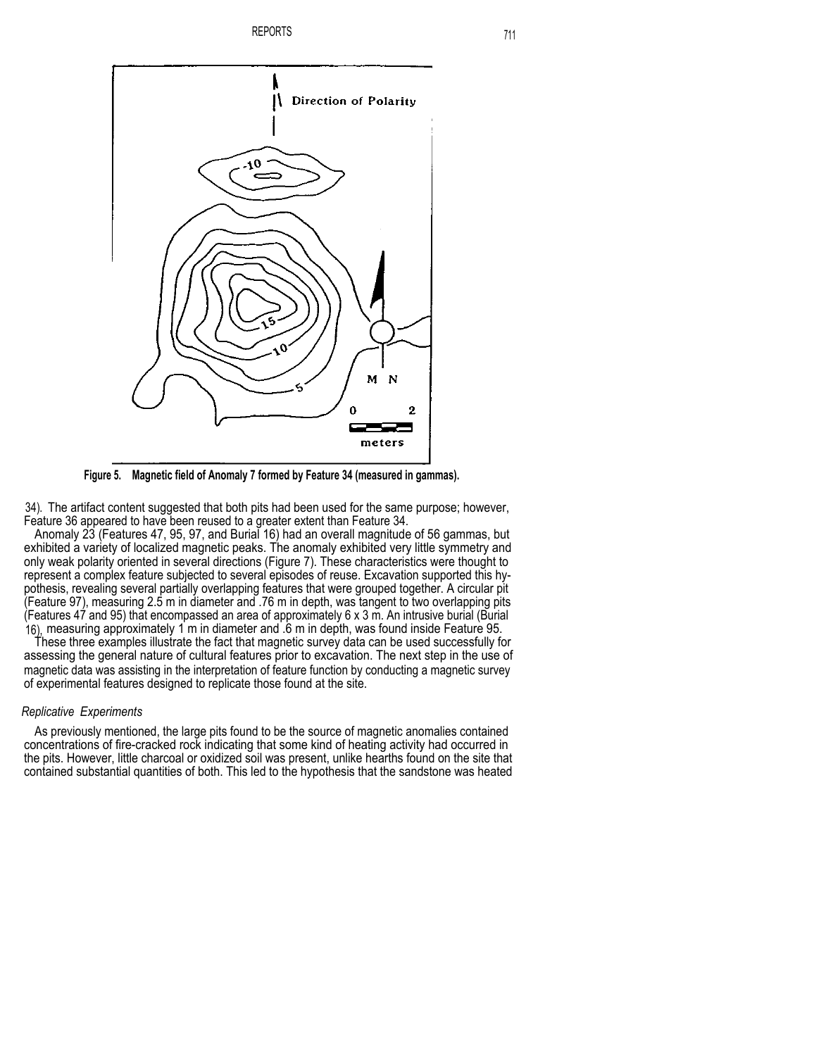

**Figure 5. Magnetic field of Anomaly 7 formed by Feature 34 (measured in gammas).**

34). The artifact content suggested that both pits had been used for the same purpose; however, Feature 36 appeared to have been reused to a greater extent than Feature 34.

Anomaly 23 (Features 47, 95, 97, and Burial 16) had an overall magnitude of 56 gammas, but exhibited a variety of localized magnetic peaks. The anomaly exhibited very little symmetry and only weak polarity oriented in several directions (Figure 7). These characteristics were thought to represent a complex feature subjected to several episodes of reuse. Excavation supported this hypothesis, revealing several partially overlapping features that were grouped together. A circular pit (Feature 97), measuring 2.5 m in diameter and .76 m in depth, was tangent to two overlapping pits (Features 47 and 95) that encompassed an area of approximately 6 x 3 m. An intrusive burial (Burial 16), measuring approximately 1 m in diameter and .6 m in depth, was found inside Feature 95.

These three examples illustrate the fact that magnetic survey data can be used successfully for assessing the general nature of cultural features prior to excavation. The next step in the use of magnetic data was assisting in the interpretation of feature function by conducting a magnetic survey of experimental features designed to replicate those found at the site.

# *Replicative Experiments*

As previously mentioned, the large pits found to be the source of magnetic anomalies contained concentrations of fire-cracked rock indicating that some kind of heating activity had occurred in the pits. However, little charcoal or oxidized soil was present, unlike hearths found on the site that contained substantial quantities of both. This led to the hypothesis that the sandstone was heated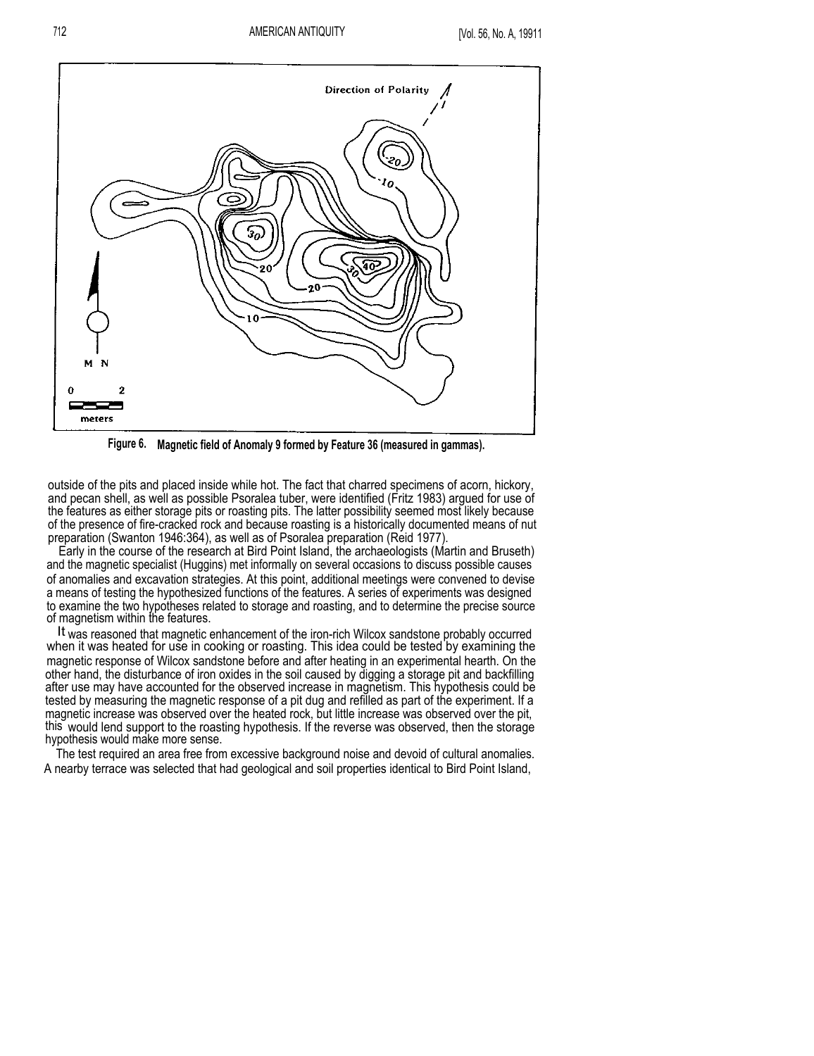

**Figure 6. Magnetic field of Anomaly 9 formed by Feature 36 (measured in gammas).**

outside of the pits and placed inside while hot. The fact that charred specimens of acorn, hickory, and pecan shell, as well as possible Psoralea tuber, were identified (Fritz 1983) argued for use of the features as either storage pits or roasting pits. The latter possibility seemed most likely because of the presence of fire-cracked rock and because roasting is a historically documented means of nut preparation (Swanton 1946:364), as well as of Psoralea preparation (Reid 1977).

Early in the course of the research at Bird Point Island, the archaeologists (Martin and Bruseth) and the magnetic specialist (Huggins) met informally on several occasions to discuss possible causes of anomalies and excavation strategies. At this point, additional meetings were convened to devise a means of testing the hypothesized functions of the features. A series of experiments was designed to examine the two hypotheses related to storage and roasting, and to determine the precise source of magnetism within the features.

It was reasoned that magnetic enhancement of the iron-rich Wilcox sandstone probably occurred when it was heated for use in cooking or roasting. This idea could be tested by examining the magnetic response of Wilcox sandstone before and after heating in an experimental hearth. On the other hand, the disturbance of iron oxides in the soil caused by digging a storage pit and backfilling after use may have accounted for the observed increase in magnetism. This hypothesis could be tested by measuring the magnetic response of a pit dug and refilled as part of the experiment. If a magnetic increase was observed over the heated rock, but little increase was observed over the pit, this would lend support to the roasting hypothesis. If the reverse was observed, then the storage hypothesis would make more sense.

The test required an area free from excessive background noise and devoid of cultural anomalies. A nearby terrace was selected that had geological and soil properties identical to Bird Point Island,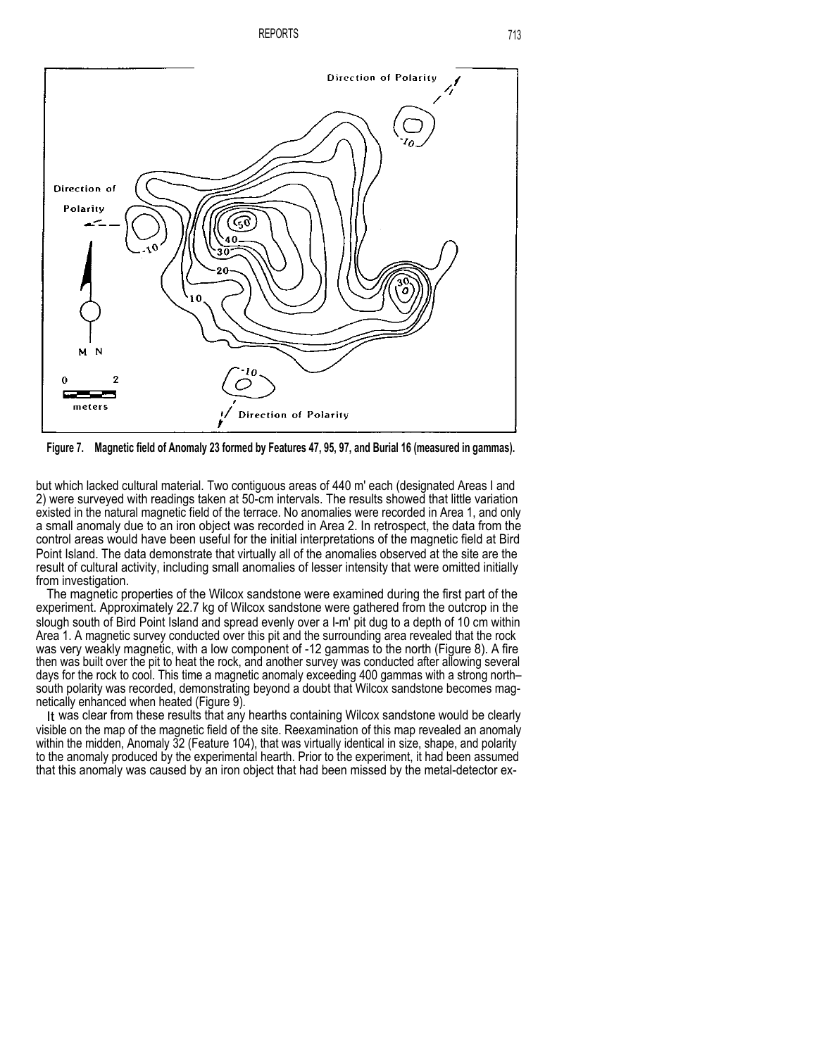



**Figure 7. Magnetic field of Anomaly 23 formed by Features 47, 95, 97, and Burial 16 (measured in gammas).**

but which lacked cultural material. Two contiguous areas of 440 m' each (designated Areas I and 2) were surveyed with readings taken at 50-cm intervals. The results showed that little variation existed in the natural magnetic field of the terrace. No anomalies were recorded in Area 1, and only a small anomaly due to an iron object was recorded in Area 2. In retrospect, the data from the control areas would have been useful for the initial interpretations of the magnetic field at Bird Point Island. The data demonstrate that virtually all of the anomalies observed at the site are the result of cultural activity, including small anomalies of lesser intensity that were omitted initially from investigation.

The magnetic properties of the Wilcox sandstone were examined during the first part of the experiment. Approximately 22.7 kg of Wilcox sandstone were gathered from the outcrop in the slough south of Bird Point Island and spread evenly over a I-m' pit dug to a depth of 10 cm within Area 1. A magnetic survey conducted over this pit and the surrounding area revealed that the rock was very weakly magnetic, with a low component of -12 gammas to the north (Figure 8). A fire then was built over the pit to heat the rock, and another survey was conducted after allowing several days for the rock to cool. This time a magnetic anomaly exceeding 400 gammas with a strong north– south polarity was recorded, demonstrating beyond a doubt that Wilcox sandstone becomes magnetically enhanced when heated (Figure 9).

It was clear from these results that any hearths containing Wilcox sandstone would be clearly visible on the map of the magnetic field of the site. Reexamination of this map revealed an anomaly within the midden, Anomaly 32 (Feature 104), that was virtually identical in size, shape, and polarity to the anomaly produced by the experimental hearth. Prior to the experiment, it had been assumed that this anomaly was caused by an iron object that had been missed by the metal-detector ex-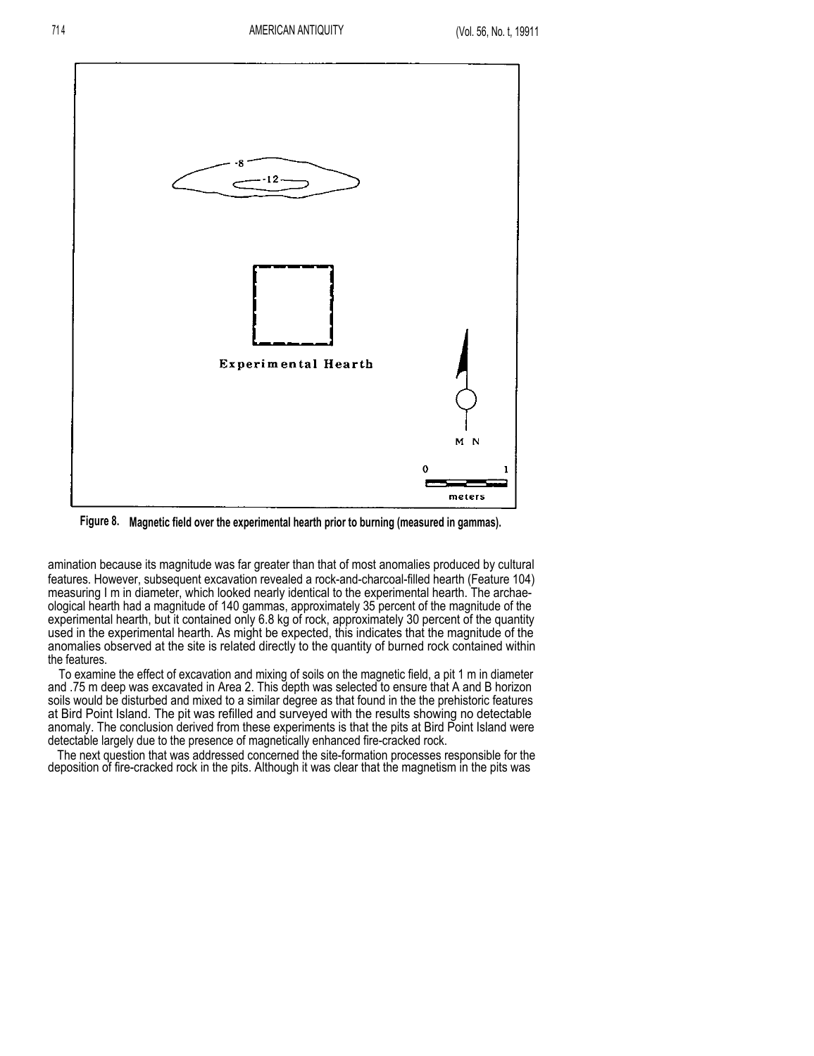

**Figure 8. Magnetic field over the experimental hearth prior to burning (measured in gammas).**

amination because its magnitude was far greater than that of most anomalies produced by cultural features. However, subsequent excavation revealed a rock-and-charcoal-filled hearth (Feature 104) measuring I m in diameter, which looked nearly identical to the experimental hearth. The archaeological hearth had a magnitude of 140 gammas, approximately 35 percent of the magnitude of the experimental hearth, but it contained only 6.8 kg of rock, approximately 30 percent of the quantity used in the experimental hearth. As might be expected, this indicates that the magnitude of the anomalies observed at the site is related directly to the quantity of burned rock contained within the features.

To examine the effect of excavation and mixing of soils on the magnetic field, a pit 1 m in diameter and .75 m deep was excavated in Area 2. This depth was selected to ensure that A and B horizon soils would be disturbed and mixed to a similar degree as that found in the the prehistoric features at Bird Point Island. The pit was refilled and surveyed with the results showing no detectable anomaly. The conclusion derived from these experiments is that the pits at Bird Point Island were detectable largely due to the presence of magnetically enhanced fire-cracked rock.

The next question that was addressed concerned the site-formation processes responsible for the deposition of fire-cracked rock in the pits. Although it was clear that the magnetism in the pits was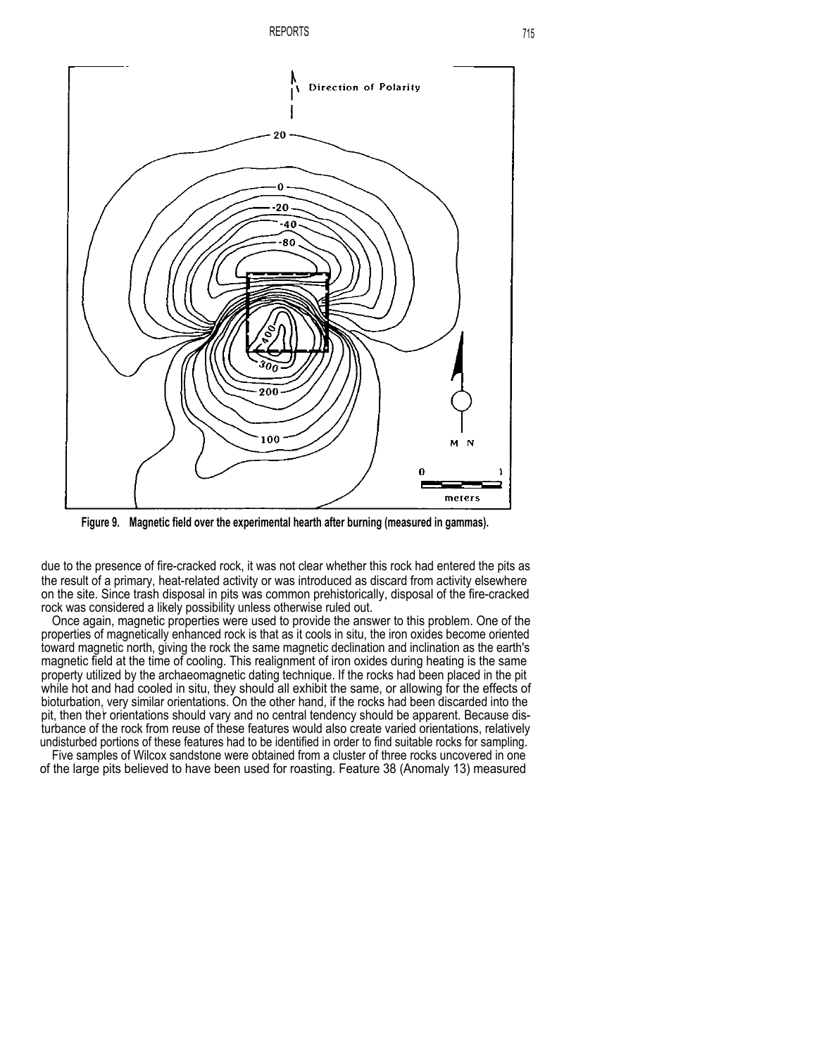

**Figure 9. Magnetic field over the experimental hearth after burning (measured in gammas).**

due to the presence of fire-cracked rock, it was not clear whether this rock had entered the pits as the result of a primary, heat-related activity or was introduced as discard from activity elsewhere on the site. Since trash disposal in pits was common prehistorically, disposal of the fire-cracked rock was considered a likely possibility unless otherwise ruled out.

Once again, magnetic properties were used to provide the answer to this problem. One of the properties of magnetically enhanced rock is that as it cools in situ, the iron oxides become oriented toward magnetic north, giving the rock the same magnetic declination and inclination as the earth's magnetic field at the time of cooling. This realignment of iron oxides during heating is the same property utilized by the archaeomagnetic dating technique. If the rocks had been placed in the pit while hot and had cooled in situ, they should all exhibit the same, or allowing for the effects of bioturbation, very similar orientations. On the other hand, if the rocks had been discarded into the pit, then the r orientations should vary and no central tendency should be apparent. Because disturbance of the rock from reuse of these features would also create varied orientations, relatively undisturbed portions of these features had to be identified in order to find suitable rocks for sampling.

Five samples of Wilcox sandstone were obtained from a cluster of three rocks uncovered in one of the large pits believed to have been used for roasting. Feature 38 (Anomaly 13) measured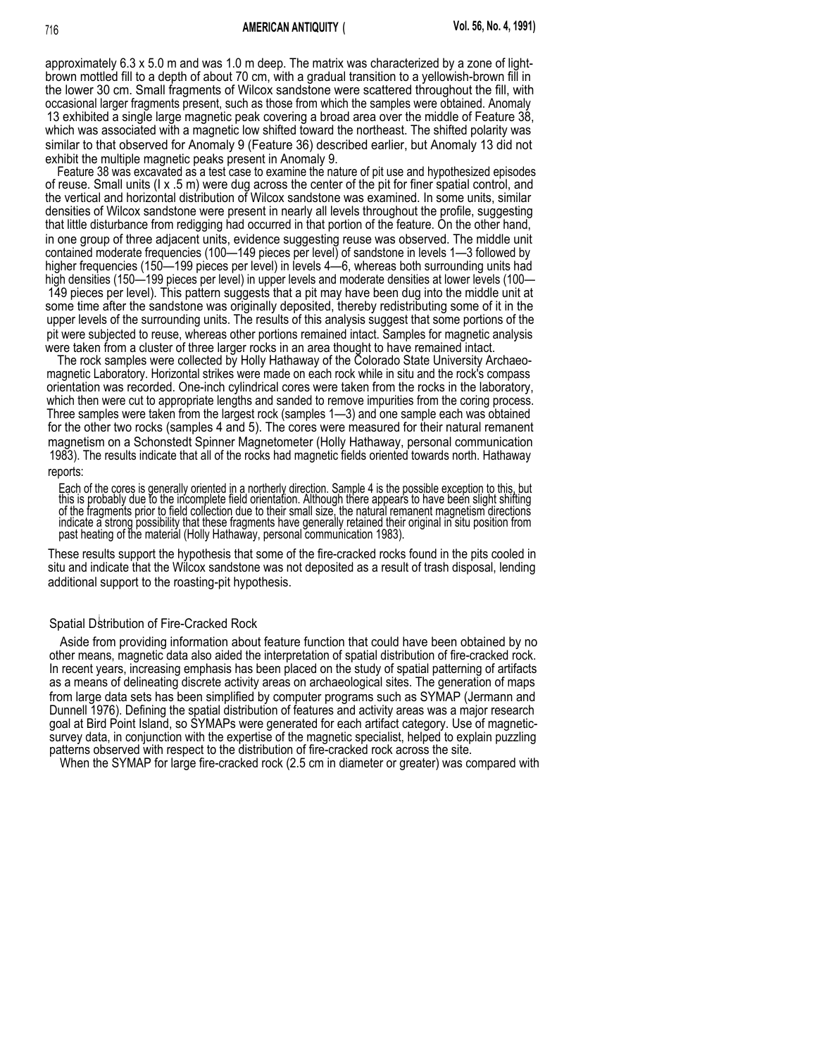approximately 6.3 x 5.0 m and was 1.0 m deep. The matrix was characterized by a zone of lightbrown mottled fill to a depth of about 70 cm, with a gradual transition to a yellowish-brown fill in the lower 30 cm. Small fragments of Wilcox sandstone were scattered throughout the fill, with occasional larger fragments present, such as those from which the samples were obtained. Anomaly 13 exhibited a single large magnetic peak covering a broad area over the middle of Feature 38, which was associated with a magnetic low shifted toward the northeast. The shifted polarity was similar to that observed for Anomaly 9 (Feature 36) described earlier, but Anomaly 13 did not exhibit the multiple magnetic peaks present in Anomaly 9.

Feature 38 was excavated as a test case to examine the nature of pit use and hypothesized episodes of reuse. Small units (I x .5 m) were dug across the center of the pit for finer spatial control, and the vertical and horizontal distribution of Wilcox sandstone was examined. In some units, similar densities of Wilcox sandstone were present in nearly all levels throughout the profile, suggesting that little disturbance from redigging had occurred in that portion of the feature. On the other hand, in one group of three adjacent units, evidence suggesting reuse was observed. The middle unit contained moderate frequencies (100—149 pieces per level) of sandstone in levels 1—3 followed by higher frequencies (150—199 pieces per level) in levels 4—6, whereas both surrounding units had high densities (150—199 pieces per level) in upper levels and moderate densities at lower levels (100— 149 pieces per level). This pattern suggests that a pit may have been dug into the middle unit at some time after the sandstone was originally deposited, thereby redistributing some of it in the upper levels of the surrounding units. The results of this analysis suggest that some portions of the pit were subjected to reuse, whereas other portions remained intact. Samples for magnetic analysis were taken from a cluster of three larger rocks in an area thought to have remained intact.

The rock samples were collected by Holly Hathaway of the Colorado State University Archaeomagnetic Laboratory. Horizontal strikes were made on each rock while in situ and the rock's compass orientation was recorded. One-inch cylindrical cores were taken from the rocks in the laboratory, which then were cut to appropriate lengths and sanded to remove impurities from the coring process. Three samples were taken from the largest rock (samples 1-3) and one sample each was obtained for the other two rocks (samples 4 and 5). The cores were measured for their natural remanent magnetism on a Schonstedt Spinner Magnetometer (Holly Hathaway, personal communication 1983). The results indicate that all of the rocks had magnetic fields oriented towards north. Hathaway reports:

Each of the cores is generally oriented in a northerly direction. Sample 4 is the possible exception to this, but this is probably due to the incomplete field orientation. Although there appears to have been slight shifting of the fragments prior to field collection due to their small size, the natural remanent magnetism directions indicate a strong possibility that these fragments have generally retained their original in situ position from past heating of the material (Holly Hathaway, personal communication 1983).

These results support the hypothesis that some of the fire-cracked rocks found in the pits cooled in situ and indicate that the Wilcox sandstone was not deposited as a result of trash disposal, lending additional support to the roasting-pit hypothesis.

# Spatial Dstribution of Fire-Cracked Rock

Aside from providing information about feature function that could have been obtained by no other means, magnetic data also aided the interpretation of spatial distribution of fire-cracked rock. In recent years, increasing emphasis has been placed on the study of spatial patterning of artifacts as a means of delineating discrete activity areas on archaeological sites. The generation of maps from large data sets has been simplified by computer programs such as SYMAP (Jermann and Dunnell 1976). Defining the spatial distribution of features and activity areas was a major research goal at Bird Point Island, so SYMAPs were generated for each artifact category. Use of magneticsurvey data, in conjunction with the expertise of the magnetic specialist, helped to explain puzzling patterns observed with respect to the distribution of fire-cracked rock across the site.

When the SYMAP for large fire-cracked rock (2.5 cm in diameter or greater) was compared with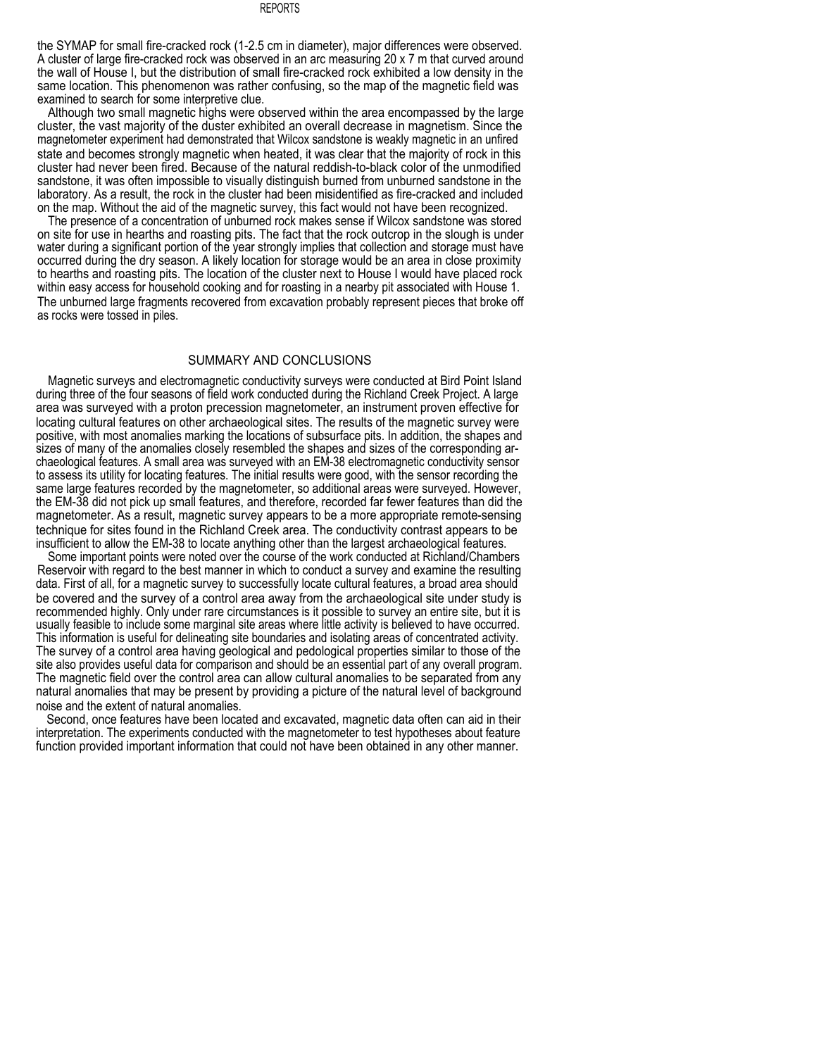the SYMAP for small fire-cracked rock (1-2.5 cm in diameter), major differences were observed. A cluster of large fire-cracked rock was observed in an arc measuring 20 x 7 m that curved around the wall of House I, but the distribution of small fire-cracked rock exhibited a low density in the same location. This phenomenon was rather confusing, so the map of the magnetic field was examined to search for some interpretive clue.

Although two small magnetic highs were observed within the area encompassed by the large cluster, the vast majority of the duster exhibited an overall decrease in magnetism. Since the magnetometer experiment had demonstrated that Wilcox sandstone is weakly magnetic in an unfired state and becomes strongly magnetic when heated, it was clear that the majority of rock in this cluster had never been fired. Because of the natural reddish-to-black color of the unmodified sandstone, it was often impossible to visually distinguish burned from unburned sandstone in the laboratory. As a result, the rock in the cluster had been misidentified as fire-cracked and included on the map. Without the aid of the magnetic survey, this fact would not have been recognized.

The presence of a concentration of unburned rock makes sense if Wilcox sandstone was stored on site for use in hearths and roasting pits. The fact that the rock outcrop in the slough is under water during a significant portion of the year strongly implies that collection and storage must have occurred during the dry season. A likely location for storage would be an area in close proximity to hearths and roasting pits. The location of the cluster next to House I would have placed rock within easy access for household cooking and for roasting in a nearby pit associated with House 1. The unburned large fragments recovered from excavation probably represent pieces that broke off as rocks were tossed in piles.

# SUMMARY AND CONCLUSIONS

Magnetic surveys and electromagnetic conductivity surveys were conducted at Bird Point Island during three of the four seasons of field work conducted during the Richland Creek Project. A large area was surveyed with a proton precession magnetometer, an instrument proven effective for locating cultural features on other archaeological sites. The results of the magnetic survey were positive, with most anomalies marking the locations of subsurface pits. In addition, the shapes and sizes of many of the anomalies closely resembled the shapes and sizes of the corresponding archaeological features. A small area was surveyed with an EM-38 electromagnetic conductivity sensor to assess its utility for locating features. The initial results were good, with the sensor recording the same large features recorded by the magnetometer, so additional areas were surveyed. However, the EM-38 did not pick up small features, and therefore, recorded far fewer features than did the magnetometer. As a result, magnetic survey appears to be a more appropriate remote-sensing technique for sites found in the Richland Creek area. The conductivity contrast appears to be insufficient to allow the EM-38 to locate anything other than the largest archaeological features.

Some important points were noted over the course of the work conducted at Richland/Chambers Reservoir with regard to the best manner in which to conduct a survey and examine the resulting data. First of all, for a magnetic survey to successfully locate cultural features, a broad area should be covered and the survey of a control area away from the archaeological site under study is recommended highly. Only under rare circumstances is it possible to survey an entire site, but it is usually feasible to include some marginal site areas where little activity is believed to have occurred. This information is useful for delineating site boundaries and isolating areas of concentrated activity. The survey of a control area having geological and pedological properties similar to those of the site also provides useful data for comparison and should be an essential part of any overall program. The magnetic field over the control area can allow cultural anomalies to be separated from any natural anomalies that may be present by providing a picture of the natural level of background noise and the extent of natural anomalies.

Second, once features have been located and excavated, magnetic data often can aid in their interpretation. The experiments conducted with the magnetometer to test hypotheses about feature function provided important information that could not have been obtained in any other manner.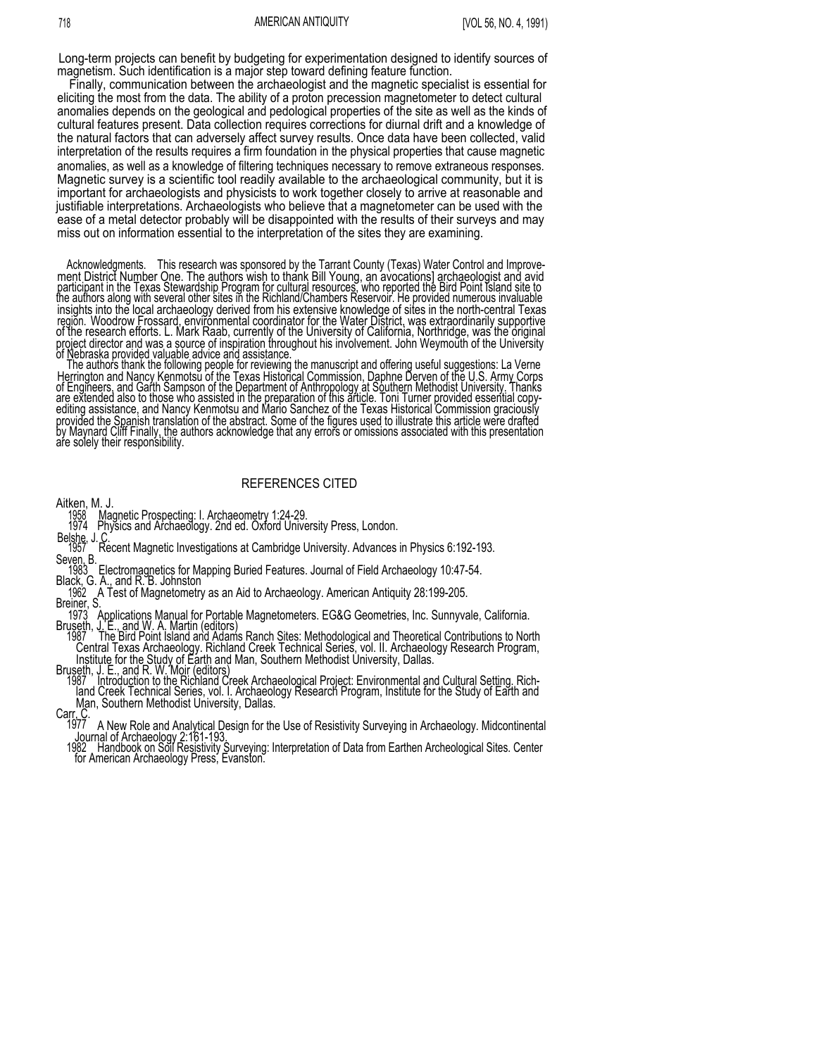Long-term projects can benefit by budgeting for experimentation designed to identify sources of magnetism. Such identification is a major step toward defining feature function.

Finally, communication between the archaeologist and the magnetic specialist is essential for eliciting the most from the data. The ability of a proton precession magnetometer to detect cultural anomalies depends on the geological and pedological properties of the site as well as the kinds of cultural features present. Data collection requires corrections for diurnal drift and a knowledge of the natural factors that can adversely affect survey results. Once data have been collected, valid interpretation of the results requires a firm foundation in the physical properties that cause magnetic anomalies, as well as a knowledge of filtering techniques necessary to remove extraneous responses. Magnetic survey is a scientific tool readily available to the archaeological community, but it is important for archaeologists and physicists to work together closely to arrive at reasonable and justifiable interpretations. Archaeologists who believe that a magnetometer can be used with the ease of a metal detector probably will be disappointed with the results of their surveys and may miss out on information essential to the interpretation of the sites they are examining.

Acknowledgments. This research was sponsored by the Tarrant County (Texas) Water Control and Improvement District Number One. The authors wish to thank Bill Young, an avocations] archaeologist and avid<br>participant in the Texas Stewardship Program for cultural resources, who reported the Bird Point Island site to<br>the auth insights into the local archaeology derived from his extensive knowledge of sites in the north-central Texas region. Woodrow Frossard, environmental coordinator for the Water District, was extraordinarily supportive<br>of the research efforts. L. Mark Raab, currently of the University of California, Northridge, was the original project director and was a source of inspiration throughout his involvement. John Weymouth of the University

of Nebraska provided valuable advice and assistance. The authors thank the following people for reviewing the manuscript and offering useful suggestions: La Verne Herrington and Nancy Kenmotsu of the Texas Historical Commission, Daphne Derven of the U.S. Army Corps<br>of Engineers, and Garth Sampson of the Department of Anthropology at Southern Methodist University. Thanks<br>are extended provided the Spanish translation of the abstract. Some of the figures used to illustrate this article were drafted<br>by Maynard Cliff Finally, the authors acknowledge that any errors or omissions associated with this present are solely their responsibility.

# REFERENCES CITED

Aitken, M. J.<br>1958 May<br>1974 Phy

- 
- 1958 Magnetic Prospecting: I. Archaeometry 1:24-29. 1974 Physics and Archaeology. 2nd ed. Oxford University Press, London.
- Belshe, J. C. 1957 Recent Magnetic Investigations at Cambridge University. Advances in Physics 6:192-193.
- Seven, B. 1983 Electromagnetics for Mapping Buried Features. Journal of Field Archaeology 10:47-54. Black, G. A., and R. B. Johnston
- 
- 1962 A Test of Magnetometry as an Aid to Archaeology. American Antiquity 28:199-205. Breiner, S.
- 

1973 Applications Manual for Portable Magnetometers. EG&G Geometries, Inc. Sunnyvale, California.

Bruseth, J. E., and W. A. Martin (editors)<br>1987 The Bird Point Island and Adams Ranch Sites: Methodological and Theoretical Contributions to North<br>Central Texas Archaeology. Richland Creek Technical Series, vol. II. Ar Institute for the Study of Earth and Man, Southern Methodist University, Dallas.<br>Bruseth, J. E., and R. W. Moir (editors)<br>- 1987 \_ Introduction to the Richland Creek Archaeological Project: Environmental and Cultural Setti

land Creek Technical Series, vol. I. Archaeology Research Program, Institute for the Study of Earth and Man, Southern Methodist University, Dallas.

- Carr, C.<br>1977 1977 A New Role and Analytical Design for the Use of Resistivity Surveying in Archaeology. Midcontinental
	- Journal of Archaeology 2:161-193. 1982 Handbook on Soil Resistivity Surveying: Interpretation of Data from Earthen Archeological Sites. Center for American Archaeology Press, Evanston.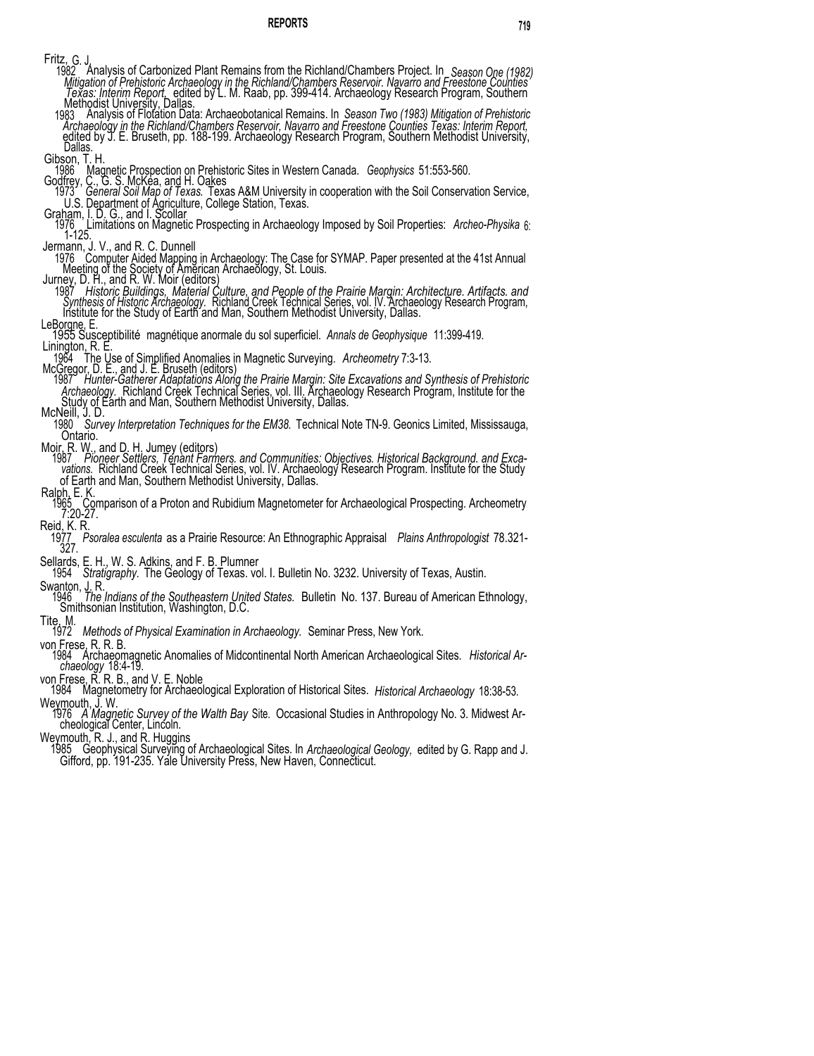Fritz, G. J.

- <sup>1982</sup> Analysis of Carbonized Plant Remains from the Richland/Chambers Project. In *Season One (1982) Mitigation of Prehistoric Archaeology in the Richland/Chambers Reservoir. Navarro and Freestone Counties Texas: Interim Report,* edited by L. M. Raab, pp. 399-414. Archaeology Research Program, Southern Methodist University, Dallas.
- 1983 Analysis of Flotation Data: Archaeobotanical Remains. In *Season Two (1983) Mitigation of Prehistoric Archaeology in the Richland/Chambers Reservoir, Navarro and Freestone Counties Texas: Interim Report,* edited by J. E. Bruseth, pp. 188-199. Archaeology Research Program, Southern Methodist University, Dallas.

Gibson, T. H.

- 1986<sup>"</sup> Magnetic Prospection on Prehistoric Sites in Western Canada. Geophysics 51:553-560.<br>odfrey, C., G. S. McKea, and H. Oakes
- 
- Godfrey, C., G. S. McKea, and H. Oakes 1973 *General Soil Map of Texas.* Texas A&M University in cooperation with the Soil Conservation Service, U.S. Department of Agriculture, College Station, Texas.<br>Graham, I. D. G., and I. Scollar
- <sup>1976</sup> Limitations on Magnetic Prospecting in Archaeology Imposed by Soil Properties: *Archeo-Physika* 6: 1-125.
- Jermann, J. V., and R. C. Dunnell
- 1976 Computer Aided Mapping in Archaeology: The Case for SYMAP. Paper presented at the 41st Annual Meeting of the Society of American Archaeology, St. Louis. Jurney, D. H., and R. W. Moir (editors)
- 
- 1987 Historic Buildings, Material Culture, and People of the Prairie Margin: Architecture. Artifacts. and<br>- Synthesis of Historic Archaeology. Richland Creek Technical Series, vol. IV. Archaeology Research Program,<br>- Ins

- LeBorgne, E. 1955 Susceptibilité magnétique anormale du sol superficiel. *Annals de Geophysique* 11:399-419. Linington, R. E.
- 
- \_ 1964 \_ The Use of Simplified Anomalies in Magnetic Surveying. *Archeometry 7:*3-13.<br>McGregor, D. E., and J. E. Bruseth (editors)<br>\_\_ 1987 \_ *Hunter-Gatherer Adaptations Along the Prairie Margin: Site Excavations and Syn Archaeology.* Richland Creek Technical Series, vol. III. Archaeology Research Program, Institute for the Study of Earth and Man, Southern Methodist University, Dallas. McNeill, J. D.

- 1980 *Survey Interpretation Techniques for the EM38.* Technical Note TN-9. Geonics Limited, Mississauga, Ontario.
- Moir, R. W., and D. H. Jumey (editors)
- 1987 *Pioneer Settlers, Tenant Farmers. and Communities: Objectives. Historical Background. and Exca-vations.* Richland Creek Technical Series, vol. IV. Archaeology Research Program. Institute for the Study of Earth and Man, Southern Methodist University, Dallas.

Ralph, E. K.

- 1965 Comparison of a Proton and Rubidium Magnetometer for Archaeological Prospecting. Archeometry 7:20-27.
- Reid, K. R.
- 1977 *Psoralea esculenta* as a Prairie Resource: An Ethnographic Appraisal *Plains Anthropologist* 78.321- 327.
- Sellards, E. H., W. S. Adkins, and F. B. Plumner
- 1954 *Stratigraphy.* The Geology of Texas. vol. I. Bulletin No. 3232. University of Texas, Austin.
- 
- Swanton, J. R. 1946 *The Indians of the Southeastern United States.* Bulletin No. 137. Bureau of American Ethnology, Smithsonian Institution, Washington, D.C.
- Tite, M.
- 1972 *Methods of Physical Examination in Archaeology.* Seminar Press, New York.

von Frese, R. R. B.

1984 Archaeomagnetic Anomalies of Midcontinental North American Archaeological Sites. *Historical Archaeology* 18:4-19.

von Frese, R. R. B., and V. E. Noble

- 1984 Magnetometry for Archaeological Exploration of Historical Sites. *Historical Archaeology* 18:38-53. Weymouth, J. W.
- 1976 *A Magnetic Survey of the Walth Bay* Site. Occasional Studies in Anthropology No. 3. Midwest Ar-cheological Center, Lincoln.

Weymouth, R. J., and R. Huggins

1985 Geophysical Surveying of Archaeological Sites. In *Archaeological Geology,* edited by G. Rapp and J. Gifford, pp. 191-235. Yale University Press, New Haven, Connecticut.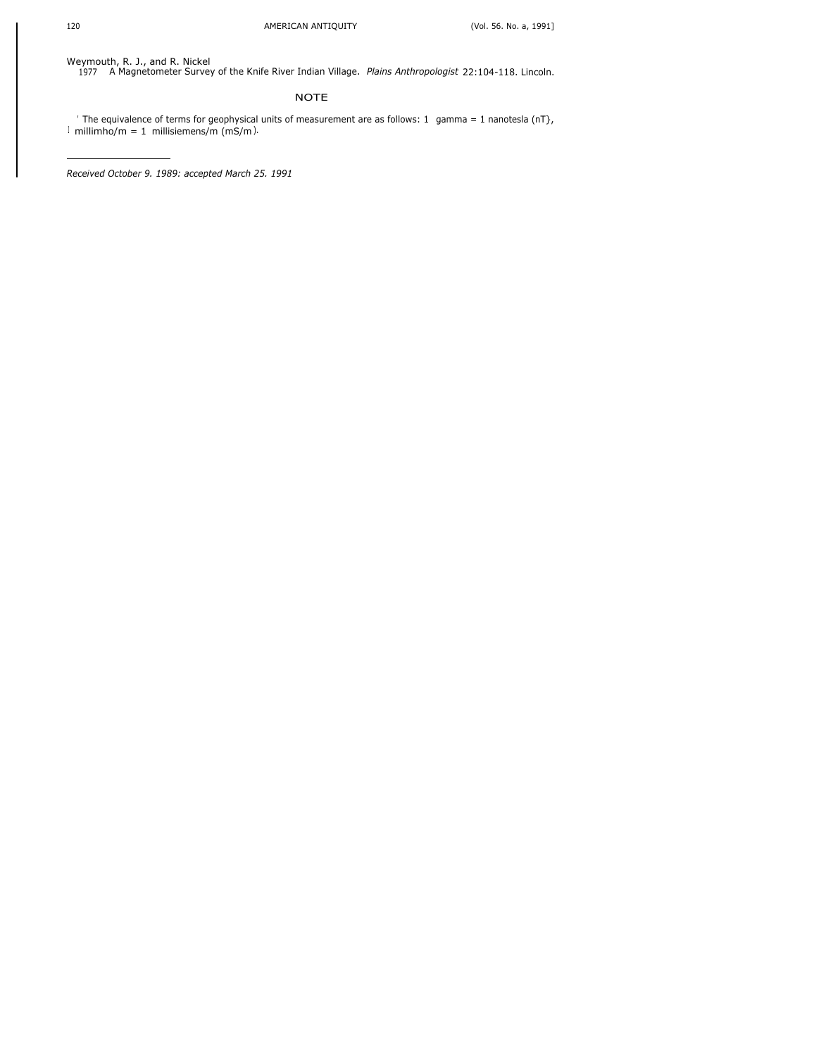Weymouth, R. J., and R. Nickel 1977 A Magnetometer Survey of the Knife River Indian Village. *Plains Anthropologist* 22:104-118. Lincoln.

# NOTE

' The equivalence of terms for geophysical units of measurement are as follows: 1  $\,$  gamma = 1 nanotesla (nT},  $\,$ <sup>I</sup> millimho/m = 1 millisiemens/m (mS/m ).

*Received October 9. 1989: accepted March 25. 1991*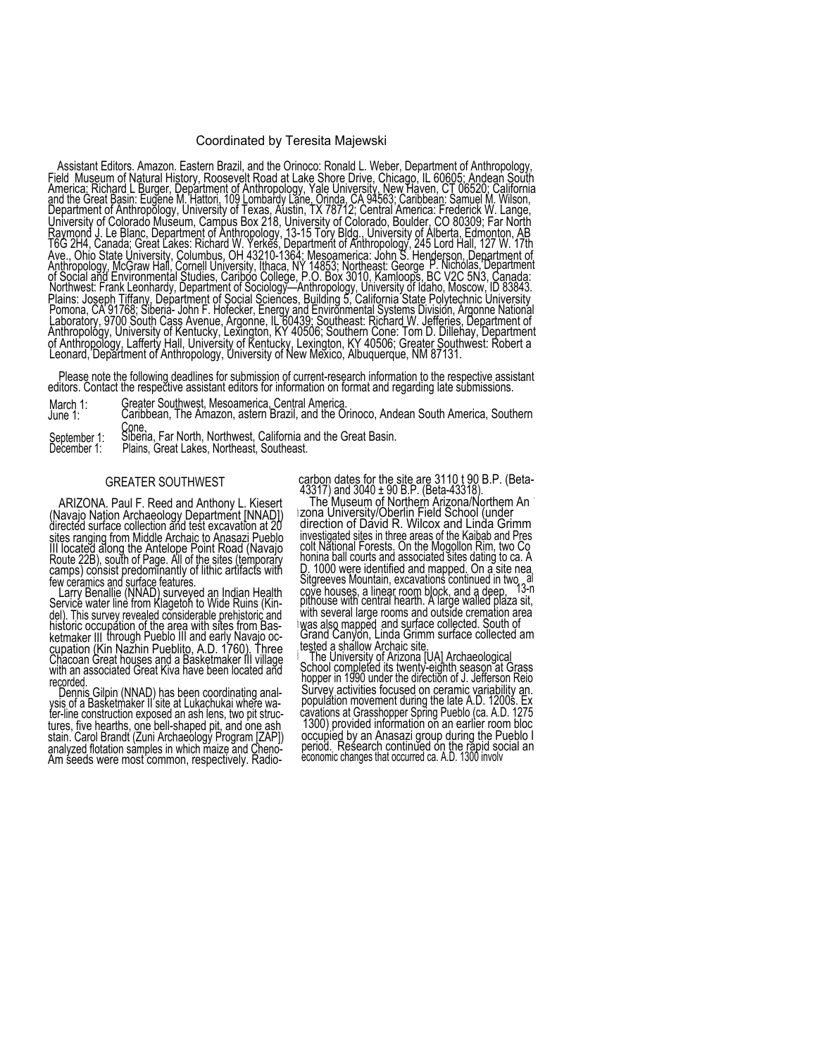# Coordinated by Teresita Majewski

Assistant Editors. Amazon. Eastern Brazil, and the Orinoco: Ronald L. Weber, Department of Anthropology, Field Museum of Natural History, Roosevelt Road at Lake Shore Drive, Chicago, IL 60605; Andean South<br>America: Richard L Burger, Department of Anthropology, Yale University, New Haven, CT 06520; California<br>and the Great Ba University of Colorado Museum, Campus Box 218, University of Colorado, Boulder, CO 80309; Far North<br>Raymond J. Le Blanc, Department of Anthropology, 13-15 Tory Bldg., University of Alberta, Edmonton, AB<br>T6G 2H4, Canada; Gr Ave., Ohio State University, Columbus, OH 43210-1364; Mesoamerica: John S. Henderson, Department of<br>Anthropology, McGraw Hall, Cornell University, Ithaca, NY 14853; Northeast: George P. Nicholas, Department<br>of Social and E Plains: Joseph Tiffany, Department of Social Sciences, Building 5, California State Polytechnic University<br>Pomona, CA 91768; Siberia- John F. Hofecker, Energy and Environmental Systems Division, Argonne National<br>Laboratory of Anthropology, Lafferty Hall, University of Kentucky, Lexington, KY 40506; Greater Southwest: Robert a<br>Leonard, Department of Anthropology, University of New Mexico, Albuquerque, NM 87131.

Please note the following deadlines for submission of current-research information to the respective assistant editors. Contact the respective assistant editors for information on format and regarding late submissions.

March 1: Greater Southwest, Mesoamerica, Central America<br>June 1: Caribbean, The Amazon, astern Brazil, and the C

Caribbean, The Amazon, astern Brazil, and the Orinoco, Andean South America, Southern

Cone. September 1: Siberia, Far North, Northwest, California and the Great Basin. September 1: Siberia, Far North, Northwest, California a<br>December 1: Plains, Great Lakes, Northeast, Southeast.

# GREATER SOUTHWEST

ARIZONA. Paul F. Reed and Anthony L. Kiesert (Navajo Nation Archaeology Department [NNAD]) directed surface collection and test excavation at 20 sites ranging from Middle Archaic to Anasazi Pueblo III located along the Antelope Point Road (Navajo Route 22B), south of Page. All of the sites (temporary camps) consist predominantly of lithic artifacts with

few ceramics and surface features. Larry Benallie (NNAD) surveyed an Indian Health Service water line from Klagetoh to Wide Ruins (Kindel). This survey revealed considerable prehistoric and historic occupation of the area with sites from Basketmaker III through Pueblo III and early Navajo occupation (Kin Nazhin Pueblito, A.D. 1760). Three Chacoan Great houses and a Basketmaker III village with an associated Great Kiva have been located and

recorded. Dennis Gilpin (NNAD) has been coordinating analysis of a Basketmaker II site at Lukachukai where water-line construction exposed an ash lens, two pit structures, five hearths, one bell-shaped pit, and one ash stain. Carol Brandt (Zuni Archaeology Program [ZAP]) analyzed flotation samples in which maize and Cheno-Am seeds were most common, respectively. Radiocarbon dates for the site are 3110 t 90 B.P. (Beta-43317) and 3040 ± 90 B.P. (Beta-43318).

The Museum of Northern Arizona/Northem An . Izona University/Oberlin Field School (under<br>direction of David R. Wilcox and Linda Grimm investigated sites in three areas of the Kaibab and Pres colt National Forests. On the Mogollon Rim, two Co honina ball courts and associated sites dating to ca. A D. 1000 were identified and mapped. On a site nea D. 1000 were lucrimica and inappose on concerned in two all<br>Sitgreeves Mountain, excavations continued in two all cove houses, a linear room block, and a deep, <sup>13-n</sup><br>pithouse with central hearth. A large walled plaza sit, with several large rooms and outside cremation area Nas also mapped and surface collected. South of<br>Grand Canyon, Linda Grimm surface collected am tested a shallow Archaic site.

Field The University of Arizona [UA] Archaeological School completed its twenty-eighth season at Grass hopper in 1990 under the direction of J. Jefferson Reio Survey activities focused on ceramic variability an. population movement during the late A.D. 1200s. Ex cavations at Grasshopper Spring Pueblo (ca. A.D. 1275 1300) provided information on an earlier room bloc occupied by an Anasazi group during the Pueblo I period. Research continued on the rapid social an economic changes that occurred ca. A.D. 1300 involv